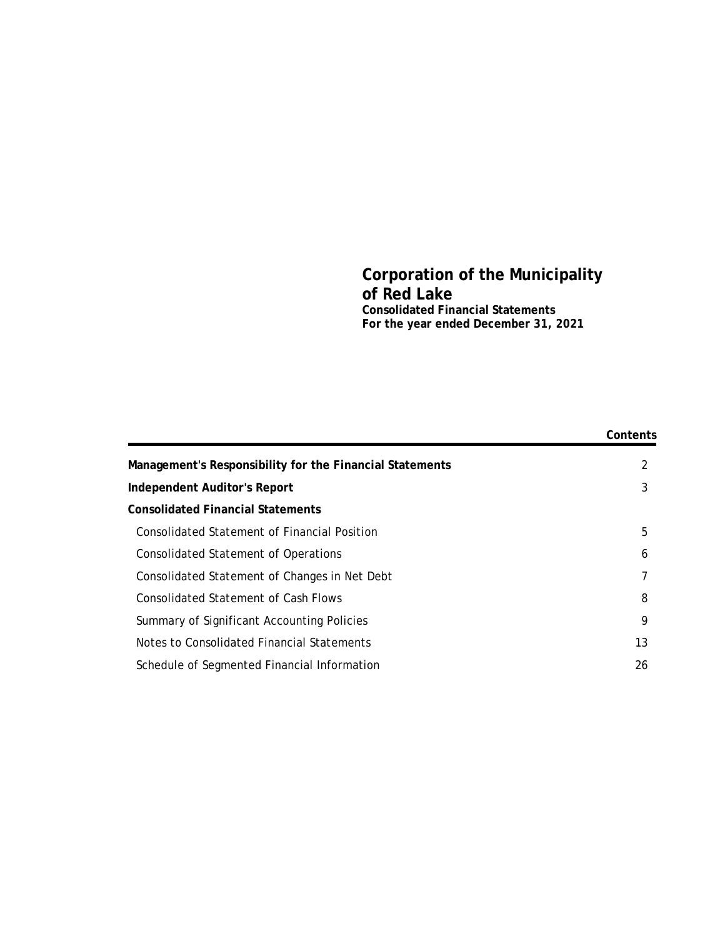# **Corporation of the Municipality of Red Lake Consolidated Financial Statements For the year ended December 31, 2021**

|                                                          | Contents      |
|----------------------------------------------------------|---------------|
| Management's Responsibility for the Financial Statements | $\mathcal{P}$ |
| Independent Auditor's Report                             | 3             |
| Consolidated Financial Statements                        |               |
| Consolidated Statement of Financial Position             | 5             |
| Consolidated Statement of Operations                     | 6             |
| Consolidated Statement of Changes in Net Debt            |               |
| Consolidated Statement of Cash Flows                     | 8             |
| Summary of Significant Accounting Policies               | 9             |
| Notes to Consolidated Financial Statements               | 13            |
| Schedule of Segmented Financial Information              | 26            |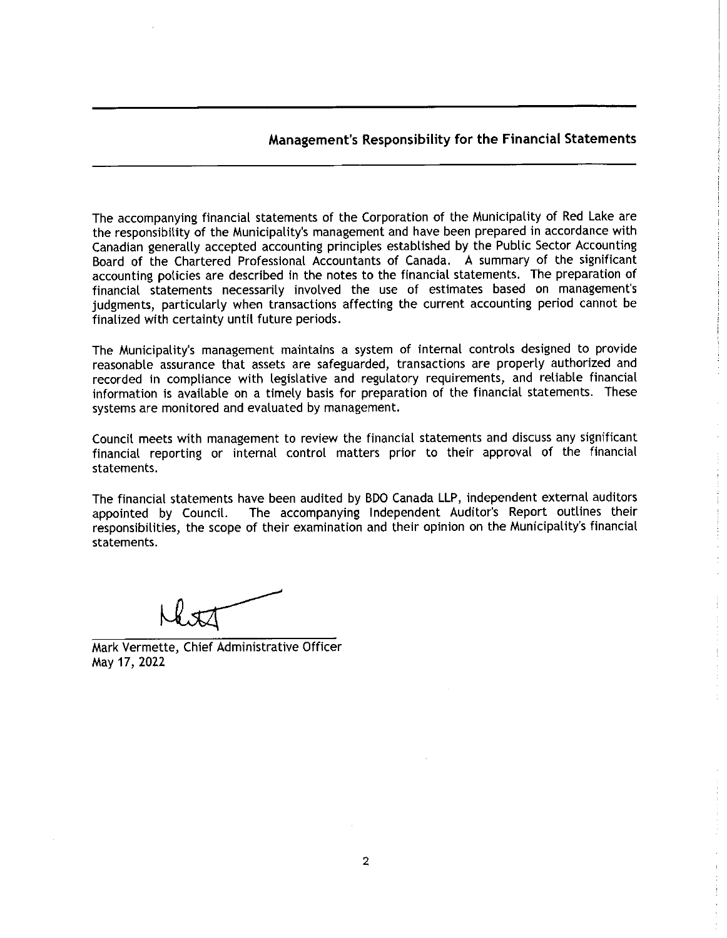## Management's Responsibility for the Financial Statements

The accompanying financial statements of the Corporation of the Municipality of Red Lake are the responsibility of the Municipality's management and have been prepared in accordance with Canadian generally accepted accounting principles established by the Public Sector Accounting Board of the Chartered Professional Accountants of Canada. A summary of the significant accounting policies are described in the notes to the financial statements. The preparation of financial statements necessarily involved the use of estimates based on management's judgments, particularly when transactions affecting the current accounting period cannot be finalized with certainty until future periods.

The Municipality's management maintains a system of internal controls designed to provide reasonable assurance that assets are safeguarded, transactions are properly authorized and recorded in compliance with legislative and regulatory requirements, and reliable financial information is available on a timely basis for preparation of the financial statements. These systems are monitored and evaluated by management.

Council meets with management to review the financial statements and discuss any significant financial reporting or internal control matters prior to their approval of the financial statements.

The financial statements have been audited by BDO Canada LLP, independent external auditors appointed by Council. The accompanying Independent Auditor's Report outlines their responsibilities, the scope of their examination and their opinion on the Municipality's financial statements.

Mark Vermette, Chief Administrative Officer May 17, 2022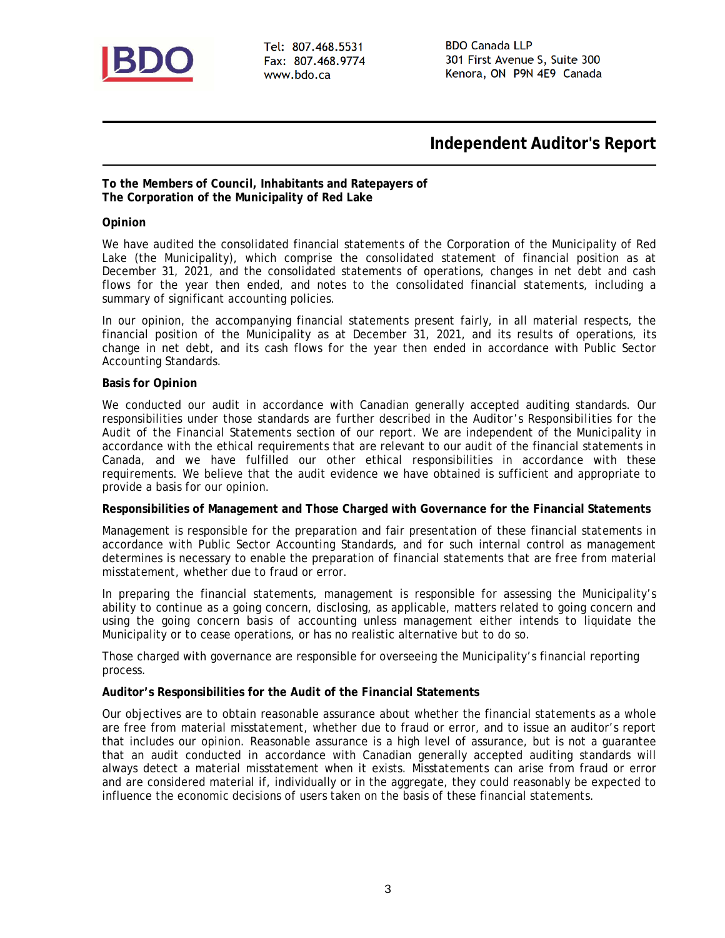

Tel: 807.468.5531 Fax: 807.468.9774 www.bdo.ca

**BDO Canada LLP** 301 First Avenue S, Suite 300 Kenora, ON P9N 4E9 Canada

# **Independent Auditor's Report**

**To the Members of Council, Inhabitants and Ratepayers of The Corporation of the Municipality of Red Lake**

#### **Opinion**

We have audited the consolidated financial statements of the Corporation of the Municipality of Red Lake (the Municipality), which comprise the consolidated statement of financial position as at December 31, 2021, and the consolidated statements of operations, changes in net debt and cash flows for the year then ended, and notes to the consolidated financial statements, including a summary of significant accounting policies.

In our opinion, the accompanying financial statements present fairly, in all material respects, the financial position of the Municipality as at December 31, 2021, and its results of operations, its change in net debt, and its cash flows for the year then ended in accordance with Public Sector Accounting Standards.

#### **Basis for Opinion**

We conducted our audit in accordance with Canadian generally accepted auditing standards. Our responsibilities under those standards are further described in the *Auditor's Responsibilities for the Audit of the Financial Statements* section of our report. We are independent of the Municipality in accordance with the ethical requirements that are relevant to our audit of the financial statements in Canada, and we have fulfilled our other ethical responsibilities in accordance with these requirements. We believe that the audit evidence we have obtained is sufficient and appropriate to provide a basis for our opinion.

**Responsibilities of Management and Those Charged with Governance for the Financial Statements**

Management is responsible for the preparation and fair presentation of these financial statements in accordance with Public Sector Accounting Standards, and for such internal control as management determines is necessary to enable the preparation of financial statements that are free from material misstatement, whether due to fraud or error.

In preparing the financial statements, management is responsible for assessing the Municipality's ability to continue as a going concern, disclosing, as applicable, matters related to going concern and using the going concern basis of accounting unless management either intends to liquidate the Municipality or to cease operations, or has no realistic alternative but to do so.

Those charged with governance are responsible for overseeing the Municipality's financial reporting process.

**Auditor's Responsibilities for the Audit of the Financial Statements**

Our objectives are to obtain reasonable assurance about whether the financial statements as a whole are free from material misstatement, whether due to fraud or error, and to issue an auditor's report that includes our opinion. Reasonable assurance is a high level of assurance, but is not a guarantee that an audit conducted in accordance with Canadian generally accepted auditing standards will always detect a material misstatement when it exists. Misstatements can arise from fraud or error and are considered material if, individually or in the aggregate, they could reasonably be expected to influence the economic decisions of users taken on the basis of these financial statements.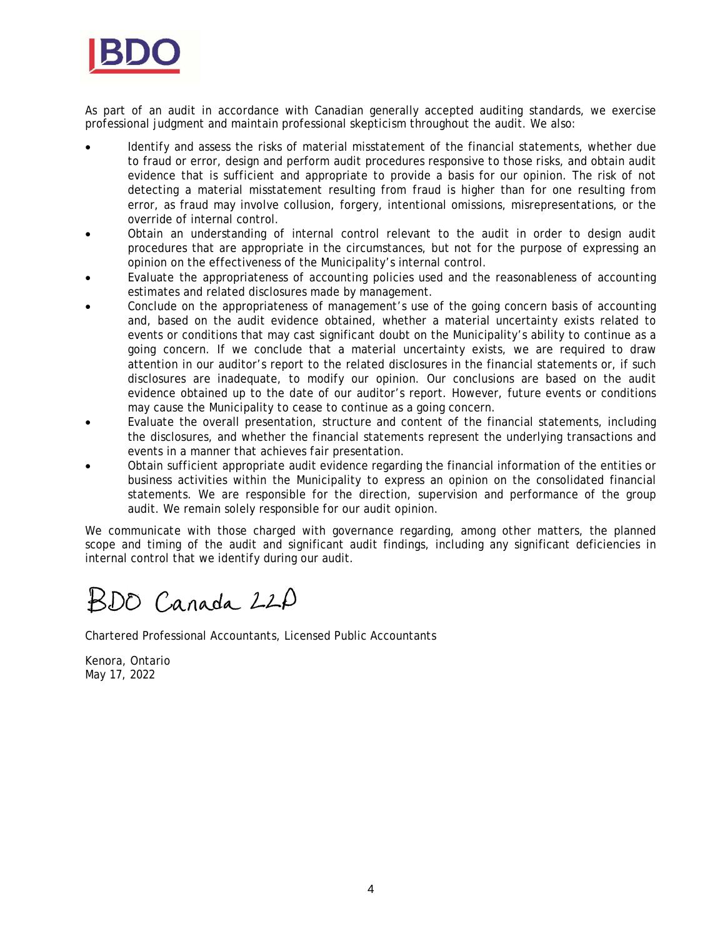

As part of an audit in accordance with Canadian generally accepted auditing standards, we exercise professional judgment and maintain professional skepticism throughout the audit. We also:

- Identify and assess the risks of material misstatement of the financial statements, whether due to fraud or error, design and perform audit procedures responsive to those risks, and obtain audit evidence that is sufficient and appropriate to provide a basis for our opinion. The risk of not detecting a material misstatement resulting from fraud is higher than for one resulting from error, as fraud may involve collusion, forgery, intentional omissions, misrepresentations, or the override of internal control.
- Obtain an understanding of internal control relevant to the audit in order to design audit procedures that are appropriate in the circumstances, but not for the purpose of expressing an opinion on the effectiveness of the Municipality's internal control.
- Evaluate the appropriateness of accounting policies used and the reasonableness of accounting estimates and related disclosures made by management.
- Conclude on the appropriateness of management's use of the going concern basis of accounting and, based on the audit evidence obtained, whether a material uncertainty exists related to events or conditions that may cast significant doubt on the Municipality's ability to continue as a going concern. If we conclude that a material uncertainty exists, we are required to draw attention in our auditor's report to the related disclosures in the financial statements or, if such disclosures are inadequate, to modify our opinion. Our conclusions are based on the audit evidence obtained up to the date of our auditor's report. However, future events or conditions may cause the Municipality to cease to continue as a going concern.
- Evaluate the overall presentation, structure and content of the financial statements, including the disclosures, and whether the financial statements represent the underlying transactions and events in a manner that achieves fair presentation.
- Obtain sufficient appropriate audit evidence regarding the financial information of the entities or business activities within the Municipality to express an opinion on the consolidated financial statements. We are responsible for the direction, supervision and performance of the group audit. We remain solely responsible for our audit opinion.

We communicate with those charged with governance regarding, among other matters, the planned scope and timing of the audit and significant audit findings, including any significant deficiencies in internal control that we identify during our audit.

BDO Canada LLD

Chartered Professional Accountants, Licensed Public Accountants

Kenora, Ontario May 17, 2022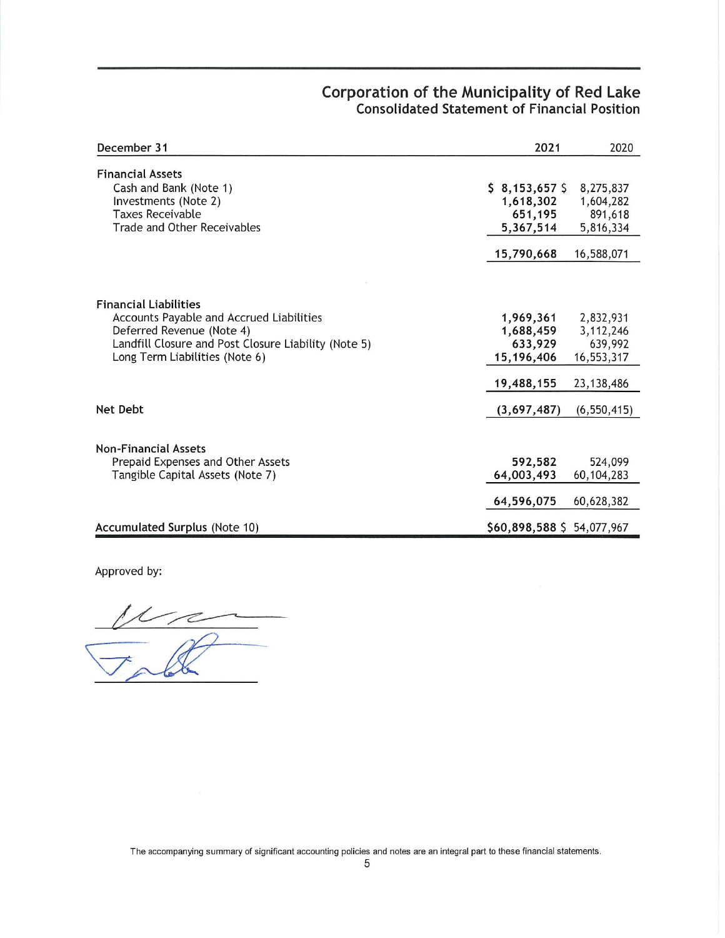# Corporation of the Municipality of Red Lake<br>Consolidated Statement of Financial Position

| December 31                                                                                                                                                                                     | 2021                                             | 2020                                           |
|-------------------------------------------------------------------------------------------------------------------------------------------------------------------------------------------------|--------------------------------------------------|------------------------------------------------|
| <b>Financial Assets</b><br>Cash and Bank (Note 1)<br>Investments (Note 2)<br><b>Taxes Receivable</b><br><b>Trade and Other Receivables</b>                                                      | \$8,153,657<br>1,618,302<br>651,195<br>5,367,514 | 8,275,837<br>1,604,282<br>891,618<br>5,816,334 |
|                                                                                                                                                                                                 | 15,790,668                                       | 16,588,071                                     |
| <b>Financial Liabilities</b><br>Accounts Payable and Accrued Liabilities<br>Deferred Revenue (Note 4)<br>Landfill Closure and Post Closure Liability (Note 5)<br>Long Term Liabilities (Note 6) | 1,969,361<br>1,688,459<br>633,929<br>15,196,406  |                                                |
|                                                                                                                                                                                                 | 19,488,155                                       | 23, 138, 486                                   |
| Net Debt                                                                                                                                                                                        | (3,697,487)                                      | (6, 550, 415)                                  |
| <b>Non-Financial Assets</b><br>Prepaid Expenses and Other Assets<br>Tangible Capital Assets (Note 7)                                                                                            | 592,582<br>64,003,493<br>64,596,075              | 524,099<br>60,104,283<br>60,628,382            |
| <b>Accumulated Surplus (Note 10)</b>                                                                                                                                                            | \$60,898,588 \$54,077,967                        |                                                |

Approved by:

 $\frac{U}{T}$ 

The accompanying summary of significant accounting policies and notes are an integral part to these financial statements.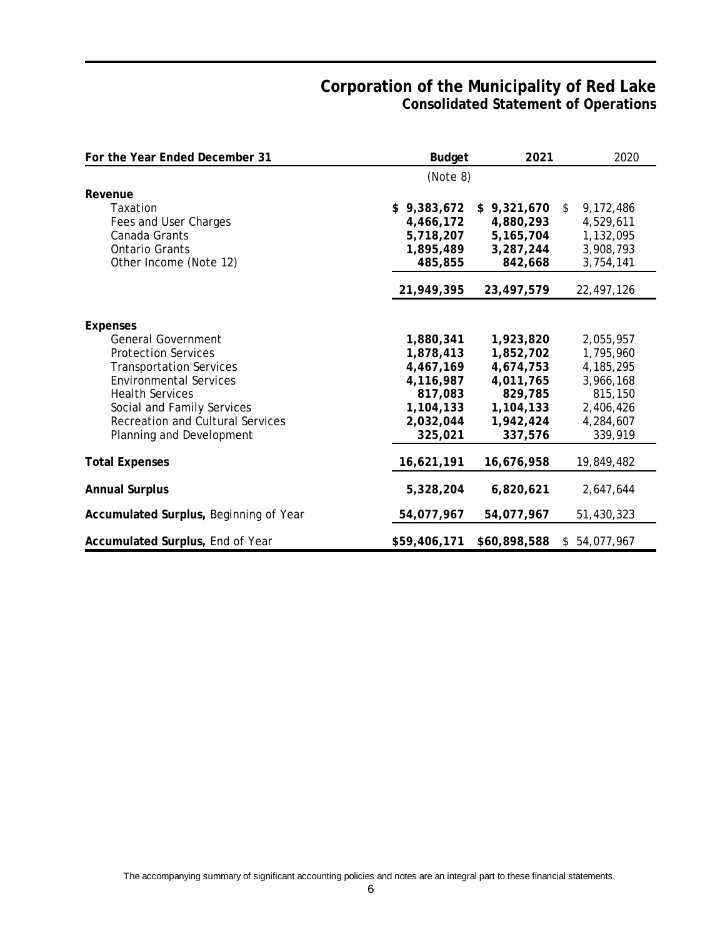# **Corporation of the Municipality of Red Lake Consolidated Statement of Operations**

| For the Year Ended December 31         | Budget       | 2021         | 2020            |
|----------------------------------------|--------------|--------------|-----------------|
|                                        | (Note 8)     |              |                 |
| Revenue                                |              |              |                 |
| Taxation                               | \$9,383,672  | \$9,321,670  | 9,172,486<br>\$ |
| Fees and User Charges                  | 4,466,172    | 4,880,293    | 4,529,611       |
| Canada Grants                          | 5,718,207    | 5, 165, 704  | 1,132,095       |
| <b>Ontario Grants</b>                  | 1,895,489    | 3,287,244    | 3,908,793       |
| Other Income (Note 12)                 | 485,855      | 842,668      | 3,754,141       |
|                                        | 21,949,395   | 23,497,579   | 22,497,126      |
|                                        |              |              |                 |
| Expenses                               |              |              |                 |
| <b>General Government</b>              | 1,880,341    | 1,923,820    | 2,055,957       |
| <b>Protection Services</b>             | 1,878,413    | 1,852,702    | 1,795,960       |
| <b>Transportation Services</b>         | 4,467,169    | 4,674,753    | 4, 185, 295     |
| <b>Environmental Services</b>          | 4,116,987    | 4,011,765    | 3,966,168       |
| <b>Health Services</b>                 | 817,083      | 829,785      | 815,150         |
| Social and Family Services             | 1,104,133    | 1,104,133    | 2,406,426       |
| Recreation and Cultural Services       | 2,032,044    | 1,942,424    | 4,284,607       |
| Planning and Development               | 325,021      | 337,576      | 339,919         |
| <b>Total Expenses</b>                  | 16,621,191   | 16,676,958   | 19,849,482      |
| <b>Annual Surplus</b>                  | 5,328,204    | 6,820,621    | 2,647,644       |
| Accumulated Surplus, Beginning of Year | 54,077,967   | 54,077,967   | 51,430,323      |
| Accumulated Surplus, End of Year       | \$59,406,171 | \$60,898,588 | \$54,077,967    |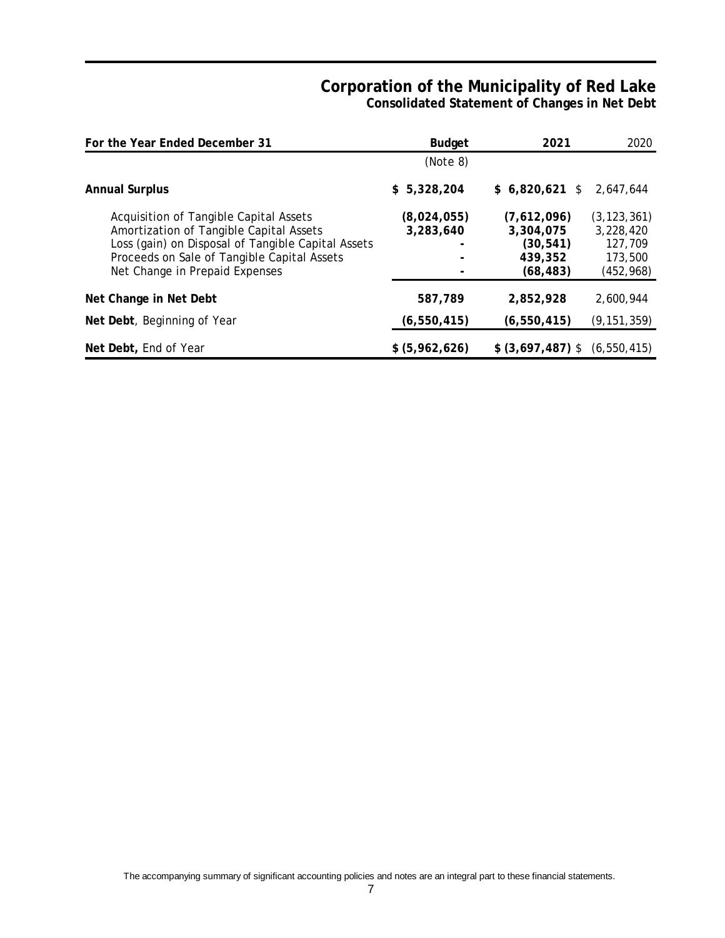# **Corporation of the Municipality of Red Lake Consolidated Statement of Changes in Net Debt**

| For the Year Ended December 31                                                                                                                                                                                           | <b>Budget</b>            | 2021                                                         | 2020                                                           |
|--------------------------------------------------------------------------------------------------------------------------------------------------------------------------------------------------------------------------|--------------------------|--------------------------------------------------------------|----------------------------------------------------------------|
|                                                                                                                                                                                                                          | (Note 8)                 |                                                              |                                                                |
| Annual Surplus                                                                                                                                                                                                           | 5,328,204<br>\$          | $$6,820,621$ \$                                              | 2.647.644                                                      |
| Acquisition of Tangible Capital Assets<br>Amortization of Tangible Capital Assets<br>Loss (gain) on Disposal of Tangible Capital Assets<br>Proceeds on Sale of Tangible Capital Assets<br>Net Change in Prepaid Expenses | (8,024,055)<br>3,283,640 | (7,612,096)<br>3,304,075<br>(30,541)<br>439,352<br>(68, 483) | (3, 123, 361)<br>3,228,420<br>127,709<br>173,500<br>(452, 968) |
| Net Change in Net Debt                                                                                                                                                                                                   | 587,789                  | 2,852,928                                                    | 2,600,944                                                      |
| Net Debt, Beginning of Year                                                                                                                                                                                              | (6, 550, 415)            | (6, 550, 415)                                                | (9, 151, 359)                                                  |
| Net Debt, End of Year                                                                                                                                                                                                    | \$ (5,962,626)           | $$$ (3,697,487) \$                                           | (6, 550, 415)                                                  |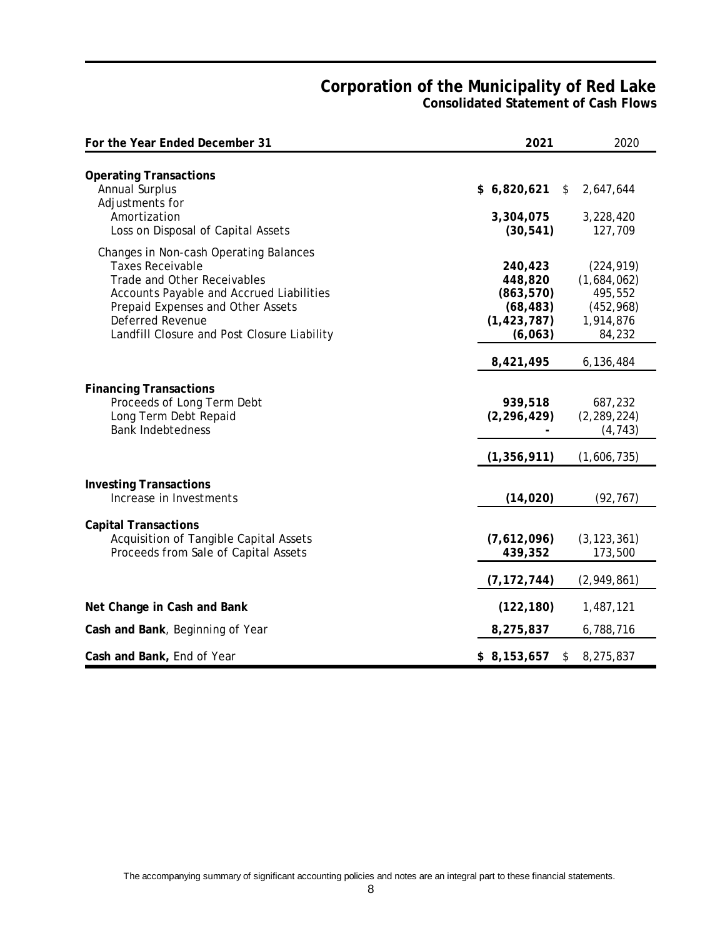## **Corporation of the Municipality of Red Lake Consolidated Statement of Cash Flows**

| For the Year Ended December 31                                                                                                                                                                                                                       | 2021                                                                      | 2020                                                                      |
|------------------------------------------------------------------------------------------------------------------------------------------------------------------------------------------------------------------------------------------------------|---------------------------------------------------------------------------|---------------------------------------------------------------------------|
| <b>Operating Transactions</b><br>Annual Surplus<br>Adjustments for<br>Amortization<br>Loss on Disposal of Capital Assets                                                                                                                             | \$6,820,621<br>\$<br>3,304,075<br>(30, 541)                               | 2,647,644<br>3,228,420<br>127,709                                         |
| Changes in Non-cash Operating Balances<br><b>Taxes Receivable</b><br>Trade and Other Receivables<br>Accounts Payable and Accrued Liabilities<br>Prepaid Expenses and Other Assets<br>Deferred Revenue<br>Landfill Closure and Post Closure Liability | 240,423<br>448,820<br>(863, 570)<br>(68, 483)<br>(1, 423, 787)<br>(6,063) | (224, 919)<br>(1,684,062)<br>495,552<br>(452, 968)<br>1,914,876<br>84,232 |
|                                                                                                                                                                                                                                                      | 8,421,495                                                                 | 6,136,484                                                                 |
| <b>Financing Transactions</b><br>Proceeds of Long Term Debt<br>Long Term Debt Repaid<br><b>Bank Indebtedness</b>                                                                                                                                     | 939,518<br>(2, 296, 429)<br>(1, 356, 911)                                 | 687,232<br>(2, 289, 224)<br>(4, 743)<br>(1,606,735)                       |
| <b>Investing Transactions</b>                                                                                                                                                                                                                        |                                                                           |                                                                           |
| Increase in Investments                                                                                                                                                                                                                              | (14, 020)                                                                 | (92, 767)                                                                 |
| <b>Capital Transactions</b><br>Acquisition of Tangible Capital Assets<br>Proceeds from Sale of Capital Assets                                                                                                                                        | (7,612,096)<br>439,352                                                    | (3, 123, 361)<br>173,500                                                  |
|                                                                                                                                                                                                                                                      | (7, 172, 744)                                                             | (2,949,861)                                                               |
| Net Change in Cash and Bank                                                                                                                                                                                                                          | (122, 180)                                                                | 1,487,121                                                                 |
| Cash and Bank, Beginning of Year                                                                                                                                                                                                                     | 8,275,837                                                                 | 6,788,716                                                                 |
| Cash and Bank, End of Year                                                                                                                                                                                                                           | \$8,153,657<br>\$                                                         | 8,275,837                                                                 |

The accompanying summary of significant accounting policies and notes are an integral part to these financial statements.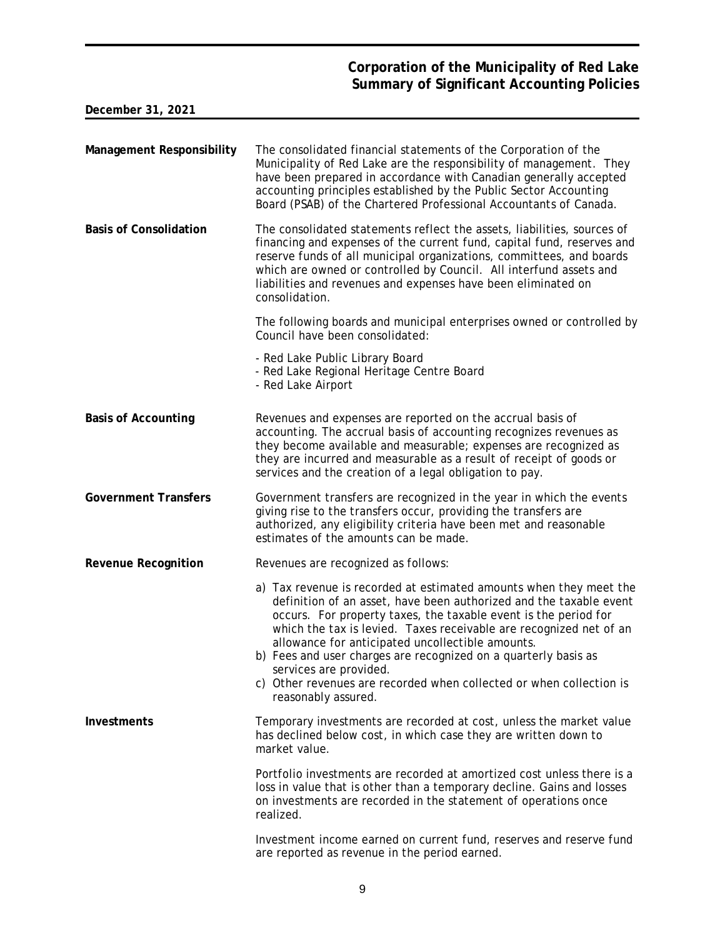| Management Responsibility     | The consolidated financial statements of the Corporation of the<br>Municipality of Red Lake are the responsibility of management. They<br>have been prepared in accordance with Canadian generally accepted<br>accounting principles established by the Public Sector Accounting<br>Board (PSAB) of the Chartered Professional Accountants of Canada.                                                                                                                                                                            |
|-------------------------------|----------------------------------------------------------------------------------------------------------------------------------------------------------------------------------------------------------------------------------------------------------------------------------------------------------------------------------------------------------------------------------------------------------------------------------------------------------------------------------------------------------------------------------|
| <b>Basis of Consolidation</b> | The consolidated statements reflect the assets, liabilities, sources of<br>financing and expenses of the current fund, capital fund, reserves and<br>reserve funds of all municipal organizations, committees, and boards<br>which are owned or controlled by Council. All interfund assets and<br>liabilities and revenues and expenses have been eliminated on<br>consolidation.                                                                                                                                               |
|                               | The following boards and municipal enterprises owned or controlled by<br>Council have been consolidated:                                                                                                                                                                                                                                                                                                                                                                                                                         |
|                               | - Red Lake Public Library Board<br>- Red Lake Regional Heritage Centre Board<br>- Red Lake Airport                                                                                                                                                                                                                                                                                                                                                                                                                               |
| Basis of Accounting           | Revenues and expenses are reported on the accrual basis of<br>accounting. The accrual basis of accounting recognizes revenues as<br>they become available and measurable; expenses are recognized as<br>they are incurred and measurable as a result of receipt of goods or<br>services and the creation of a legal obligation to pay.                                                                                                                                                                                           |
| <b>Government Transfers</b>   | Government transfers are recognized in the year in which the events<br>giving rise to the transfers occur, providing the transfers are<br>authorized, any eligibility criteria have been met and reasonable<br>estimates of the amounts can be made.                                                                                                                                                                                                                                                                             |
| Revenue Recognition           | Revenues are recognized as follows:                                                                                                                                                                                                                                                                                                                                                                                                                                                                                              |
|                               | a) Tax revenue is recorded at estimated amounts when they meet the<br>definition of an asset, have been authorized and the taxable event<br>occurs. For property taxes, the taxable event is the period for<br>which the tax is levied. Taxes receivable are recognized net of an<br>allowance for anticipated uncollectible amounts.<br>b) Fees and user charges are recognized on a quarterly basis as<br>services are provided.<br>c) Other revenues are recorded when collected or when collection is<br>reasonably assured. |
| Investments                   | Temporary investments are recorded at cost, unless the market value<br>has declined below cost, in which case they are written down to<br>market value.                                                                                                                                                                                                                                                                                                                                                                          |
|                               | Portfolio investments are recorded at amortized cost unless there is a<br>loss in value that is other than a temporary decline. Gains and losses<br>on investments are recorded in the statement of operations once<br>realized.                                                                                                                                                                                                                                                                                                 |
|                               | Investment income earned on current fund, reserves and reserve fund<br>are reported as revenue in the period earned.                                                                                                                                                                                                                                                                                                                                                                                                             |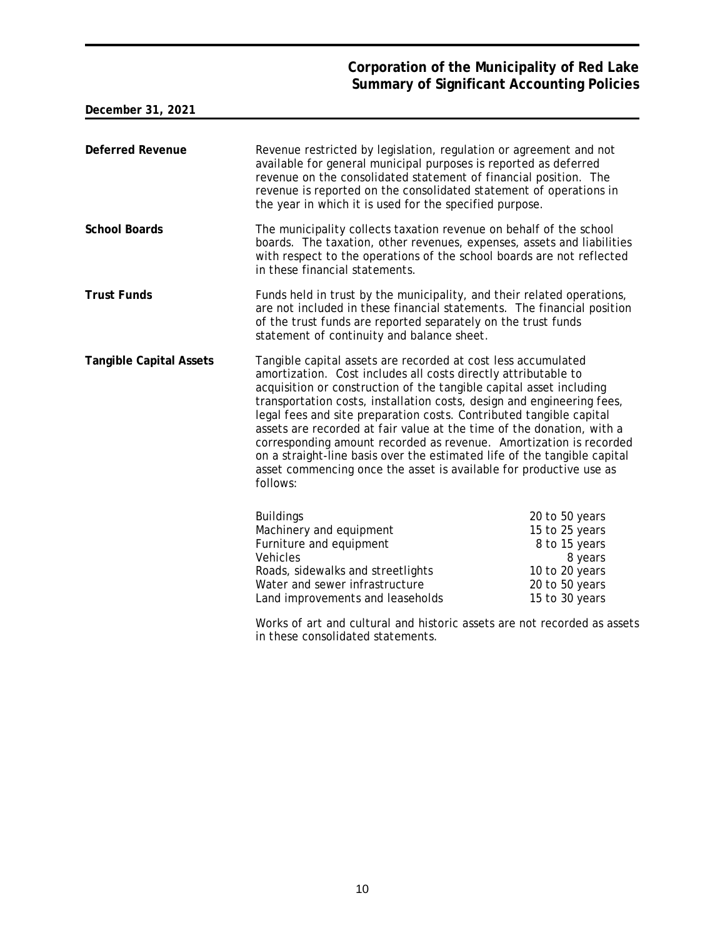| Deferred Revenue               | Revenue restricted by legislation, regulation or agreement and not<br>available for general municipal purposes is reported as deferred<br>revenue on the consolidated statement of financial position. The<br>revenue is reported on the consolidated statement of operations in<br>the year in which it is used for the specified purpose.                                                                                                                                                                                                                                                                                                                          |                                                                                                                    |  |  |  |  |  |
|--------------------------------|----------------------------------------------------------------------------------------------------------------------------------------------------------------------------------------------------------------------------------------------------------------------------------------------------------------------------------------------------------------------------------------------------------------------------------------------------------------------------------------------------------------------------------------------------------------------------------------------------------------------------------------------------------------------|--------------------------------------------------------------------------------------------------------------------|--|--|--|--|--|
| <b>School Boards</b>           | The municipality collects taxation revenue on behalf of the school<br>boards. The taxation, other revenues, expenses, assets and liabilities<br>with respect to the operations of the school boards are not reflected                                                                                                                                                                                                                                                                                                                                                                                                                                                |                                                                                                                    |  |  |  |  |  |
| <b>Trust Funds</b>             | Funds held in trust by the municipality, and their related operations,<br>are not included in these financial statements. The financial position<br>of the trust funds are reported separately on the trust funds<br>statement of continuity and balance sheet.                                                                                                                                                                                                                                                                                                                                                                                                      |                                                                                                                    |  |  |  |  |  |
| <b>Tangible Capital Assets</b> | Tangible capital assets are recorded at cost less accumulated<br>amortization. Cost includes all costs directly attributable to<br>acquisition or construction of the tangible capital asset including<br>transportation costs, installation costs, design and engineering fees,<br>legal fees and site preparation costs. Contributed tangible capital<br>assets are recorded at fair value at the time of the donation, with a<br>corresponding amount recorded as revenue. Amortization is recorded<br>on a straight-line basis over the estimated life of the tangible capital<br>asset commencing once the asset is available for productive use as<br>follows: |                                                                                                                    |  |  |  |  |  |
|                                | <b>Buildings</b><br>Machinery and equipment<br>Furniture and equipment<br>Vehicles<br>Roads, sidewalks and streetlights<br>Water and sewer infrastructure<br>Land improvements and leaseholds                                                                                                                                                                                                                                                                                                                                                                                                                                                                        | 20 to 50 years<br>15 to 25 years<br>8 to 15 years<br>8 years<br>10 to 20 years<br>20 to 50 years<br>15 to 30 years |  |  |  |  |  |
|                                | Works of art and cultural and historic assets are not recorded as assets                                                                                                                                                                                                                                                                                                                                                                                                                                                                                                                                                                                             |                                                                                                                    |  |  |  |  |  |

in these consolidated statements.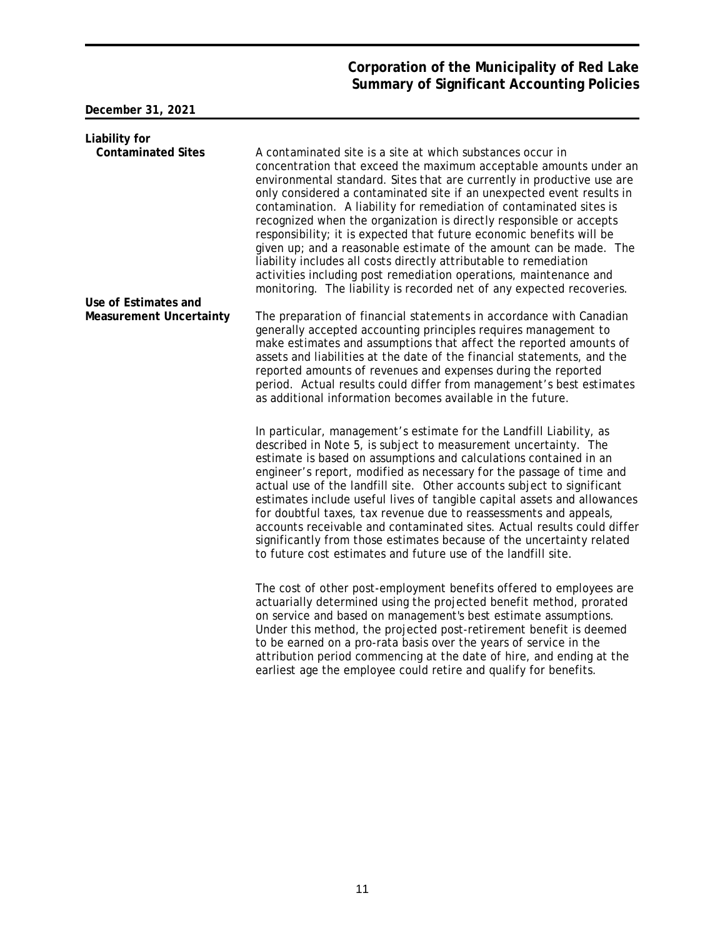| Liability for                                                                |                                                                                                                                                                                                                                                                                                                                                                                                                                                                                                                                                                                                                                                                                                                                                                                                   |
|------------------------------------------------------------------------------|---------------------------------------------------------------------------------------------------------------------------------------------------------------------------------------------------------------------------------------------------------------------------------------------------------------------------------------------------------------------------------------------------------------------------------------------------------------------------------------------------------------------------------------------------------------------------------------------------------------------------------------------------------------------------------------------------------------------------------------------------------------------------------------------------|
| <b>Contaminated Sites</b><br>Use of Estimates and<br>Measurement Uncertainty | A contaminated site is a site at which substances occur in<br>concentration that exceed the maximum acceptable amounts under an<br>environmental standard. Sites that are currently in productive use are<br>only considered a contaminated site if an unexpected event results in<br>contamination. A liability for remediation of contaminated sites is<br>recognized when the organization is directly responsible or accepts<br>responsibility; it is expected that future economic benefits will be<br>given up; and a reasonable estimate of the amount can be made. The<br>liability includes all costs directly attributable to remediation<br>activities including post remediation operations, maintenance and<br>monitoring. The liability is recorded net of any expected recoveries. |
|                                                                              | The preparation of financial statements in accordance with Canadian<br>generally accepted accounting principles requires management to<br>make estimates and assumptions that affect the reported amounts of<br>assets and liabilities at the date of the financial statements, and the<br>reported amounts of revenues and expenses during the reported<br>period. Actual results could differ from management's best estimates<br>as additional information becomes available in the future.                                                                                                                                                                                                                                                                                                    |
|                                                                              | In particular, management's estimate for the Landfill Liability, as<br>described in Note 5, is subject to measurement uncertainty. The<br>estimate is based on assumptions and calculations contained in an<br>engineer's report, modified as necessary for the passage of time and<br>actual use of the landfill site. Other accounts subject to significant<br>estimates include useful lives of tangible capital assets and allowances<br>for doubtful taxes, tax revenue due to reassessments and appeals,<br>accounts receivable and contaminated sites. Actual results could differ<br>significantly from those estimates because of the uncertainty related<br>to future cost estimates and future use of the landfill site.                                                               |
|                                                                              | The cost of other post-employment benefits offered to employees are<br>actuarially determined using the projected benefit method, prorated<br>on service and based on management's best estimate assumptions.<br>Under this method, the projected post-retirement benefit is deemed<br>to be earned on a pro-rata basis over the years of service in the<br>attribution period commencing at the date of hire, and ending at the                                                                                                                                                                                                                                                                                                                                                                  |

earliest age the employee could retire and qualify for benefits.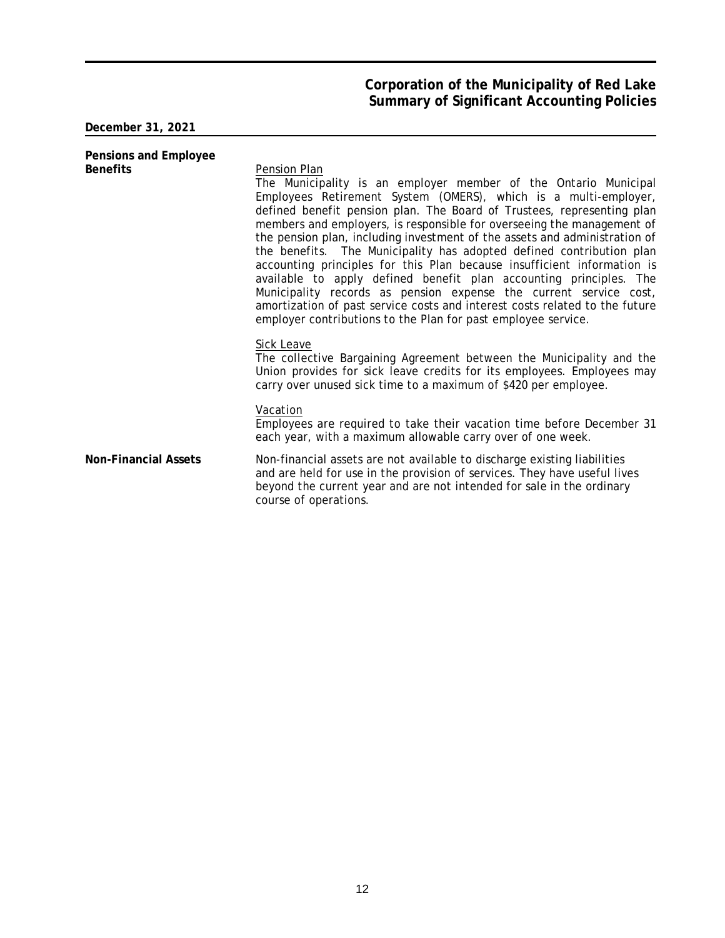| Pensions and Employee       |                                                                                                                                                                                                                                                                                                                                                                                                                                                                                                                                                                                                                                                                                                                                                                                                                                    |  |  |  |  |
|-----------------------------|------------------------------------------------------------------------------------------------------------------------------------------------------------------------------------------------------------------------------------------------------------------------------------------------------------------------------------------------------------------------------------------------------------------------------------------------------------------------------------------------------------------------------------------------------------------------------------------------------------------------------------------------------------------------------------------------------------------------------------------------------------------------------------------------------------------------------------|--|--|--|--|
| <b>Benefits</b>             | Pension Plan<br>The Municipality is an employer member of the Ontario Municipal<br>Employees Retirement System (OMERS), which is a multi-employer,<br>defined benefit pension plan. The Board of Trustees, representing plan<br>members and employers, is responsible for overseeing the management of<br>the pension plan, including investment of the assets and administration of<br>the benefits. The Municipality has adopted defined contribution plan<br>accounting principles for this Plan because insufficient information is<br>available to apply defined benefit plan accounting principles. The<br>Municipality records as pension expense the current service cost,<br>amortization of past service costs and interest costs related to the future<br>employer contributions to the Plan for past employee service. |  |  |  |  |
|                             | Sick Leave<br>The collective Bargaining Agreement between the Municipality and the<br>Union provides for sick leave credits for its employees. Employees may<br>carry over unused sick time to a maximum of \$420 per employee.                                                                                                                                                                                                                                                                                                                                                                                                                                                                                                                                                                                                    |  |  |  |  |
|                             | Vacation<br>Employees are required to take their vacation time before December 31<br>each year, with a maximum allowable carry over of one week.                                                                                                                                                                                                                                                                                                                                                                                                                                                                                                                                                                                                                                                                                   |  |  |  |  |
| <b>Non-Financial Assets</b> | Non-financial assets are not available to discharge existing liabilities<br>and are held for use in the provision of services. They have useful lives<br>beyond the current year and are not intended for sale in the ordinary<br>course of operations.                                                                                                                                                                                                                                                                                                                                                                                                                                                                                                                                                                            |  |  |  |  |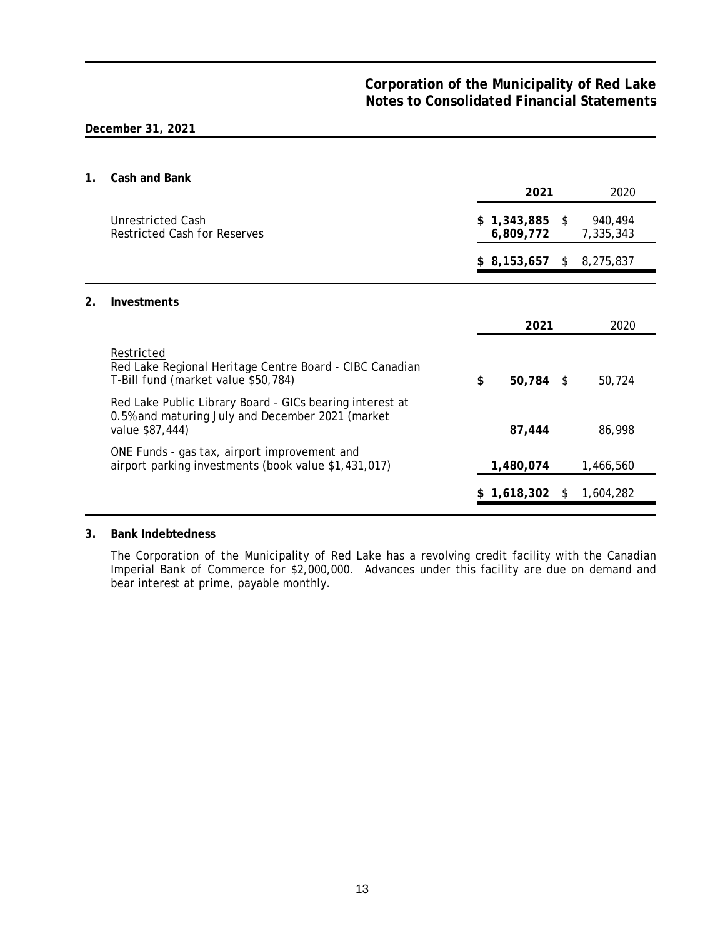# **Corporation of the Municipality of Red Lake Notes to Consolidated Financial Statements**

## **December 31, 2021**

**1. Cash and Bank**

|    |                                                                                                                                 |     | 2021                         |               | 2020                 |
|----|---------------------------------------------------------------------------------------------------------------------------------|-----|------------------------------|---------------|----------------------|
|    | Unrestricted Cash<br>Restricted Cash for Reserves                                                                               |     | $$1,343,885$ \$<br>6,809,772 |               | 940,494<br>7,335,343 |
|    |                                                                                                                                 | \$. | 8,153,657                    | <sup>\$</sup> | 8,275,837            |
| 2. | Investments                                                                                                                     |     |                              |               |                      |
|    |                                                                                                                                 |     | 2021                         |               | 2020                 |
|    | Restricted<br>Red Lake Regional Heritage Centre Board - CIBC Canadian<br>T-Bill fund (market value \$50,784)                    | \$  | 50,784 \$                    |               | 50,724               |
|    | Red Lake Public Library Board - GICs bearing interest at<br>0.5% and maturing July and December 2021 (market<br>value \$87,444) |     | 87,444                       |               | 86,998               |
|    | ONE Funds - gas tax, airport improvement and<br>airport parking investments (book value \$1,431,017)                            |     | 1,480,074                    |               | 1,466,560            |
|    |                                                                                                                                 |     | 1,618,302                    | \$            | 1,604,282            |
|    |                                                                                                                                 |     |                              |               |                      |

## **3. Bank Indebtedness**

The Corporation of the Municipality of Red Lake has a revolving credit facility with the Canadian Imperial Bank of Commerce for \$2,000,000. Advances under this facility are due on demand and bear interest at prime, payable monthly.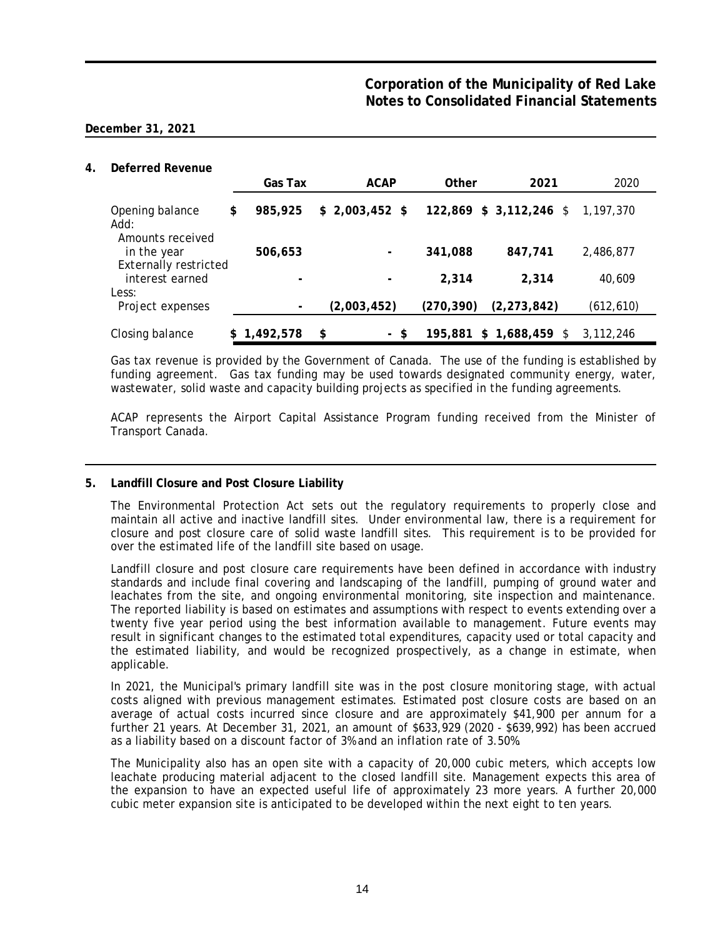## **4. Deferred Revenue**

|                                                 | Gas Tax       | <b>ACAP</b> |                          | Other      |  | 2021                    |    | 2020       |  |
|-------------------------------------------------|---------------|-------------|--------------------------|------------|--|-------------------------|----|------------|--|
| Opening balance<br>Add:                         | \$<br>985,925 |             | $$2,003,452$ \$          |            |  | 122,869 \$ 3,112,246 \$ |    | 1,197,370  |  |
| Amounts received<br>in the year                 | 506,653       |             | $\overline{\phantom{a}}$ | 341,088    |  | 847.741                 |    | 2,486,877  |  |
| <b>Externally restricted</b><br>interest earned |               |             |                          | 2,314      |  | 2,314                   |    | 40,609     |  |
| Less:<br>Project expenses                       |               |             | (2,003,452)              | (270, 390) |  | (2, 273, 842)           |    | (612, 610) |  |
| Closing balance                                 | 1,492,578     | \$          | - \$                     | 195,881    |  | \$1,688,459             | \$ | 3.112.246  |  |

Gas tax revenue is provided by the Government of Canada. The use of the funding is established by funding agreement. Gas tax funding may be used towards designated community energy, water, wastewater, solid waste and capacity building projects as specified in the funding agreements.

ACAP represents the Airport Capital Assistance Program funding received from the Minister of Transport Canada.

## **5. Landfill Closure and Post Closure Liability**

The Environmental Protection Act sets out the regulatory requirements to properly close and maintain all active and inactive landfill sites. Under environmental law, there is a requirement for closure and post closure care of solid waste landfill sites. This requirement is to be provided for over the estimated life of the landfill site based on usage.

Landfill closure and post closure care requirements have been defined in accordance with industry standards and include final covering and landscaping of the landfill, pumping of ground water and leachates from the site, and ongoing environmental monitoring, site inspection and maintenance. The reported liability is based on estimates and assumptions with respect to events extending over a twenty five year period using the best information available to management. Future events may result in significant changes to the estimated total expenditures, capacity used or total capacity and the estimated liability, and would be recognized prospectively, as a change in estimate, when applicable.

In 2021, the Municipal's primary landfill site was in the post closure monitoring stage, with actual costs aligned with previous management estimates. Estimated post closure costs are based on an average of actual costs incurred since closure and are approximately \$41,900 per annum for a further 21 years. At December 31, 2021, an amount of \$633,929 (2020 - \$639,992) has been accrued as a liability based on a discount factor of 3% and an inflation rate of 3.50%.

The Municipality also has an open site with a capacity of 20,000 cubic meters, which accepts low leachate producing material adjacent to the closed landfill site. Management expects this area of the expansion to have an expected useful life of approximately 23 more years. A further 20,000 cubic meter expansion site is anticipated to be developed within the next eight to ten years.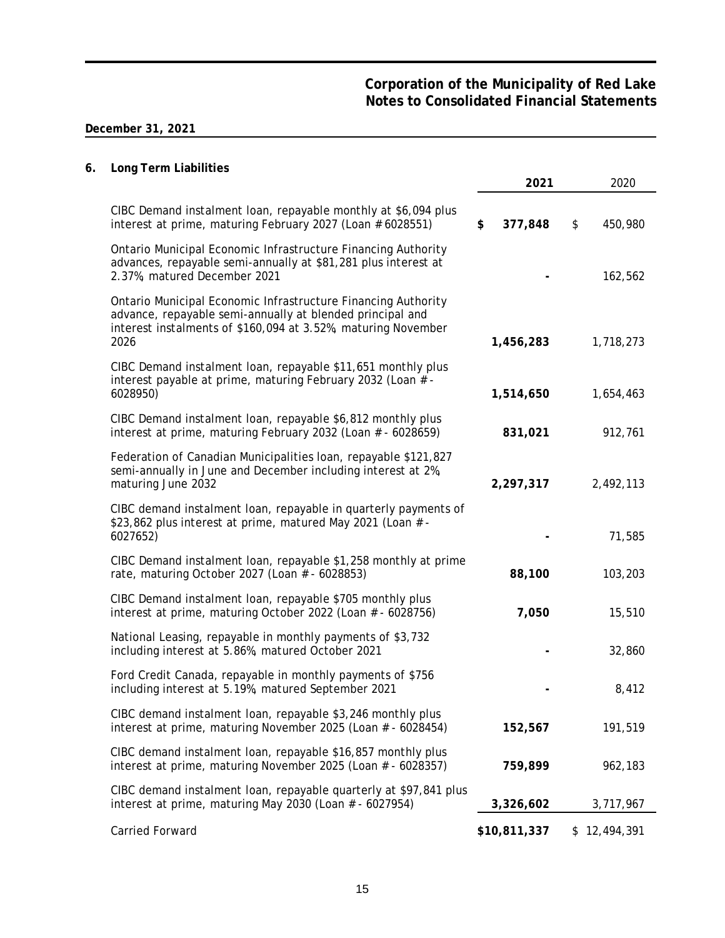# **Corporation of the Municipality of Red Lake Notes to Consolidated Financial Statements**

# **December 31, 2021**

# **6. Long Term Liabilities**

|                                                                                                                                                                                                     | 2021          | 2020          |  |
|-----------------------------------------------------------------------------------------------------------------------------------------------------------------------------------------------------|---------------|---------------|--|
| CIBC Demand instalment loan, repayable monthly at \$6,094 plus<br>interest at prime, maturing February 2027 (Loan # 6028551)                                                                        | \$<br>377,848 | \$<br>450,980 |  |
| Ontario Municipal Economic Infrastructure Financing Authority<br>advances, repayable semi-annually at \$81,281 plus interest at<br>2.37%, matured December 2021                                     |               | 162,562       |  |
| Ontario Municipal Economic Infrastructure Financing Authority<br>advance, repayable semi-annually at blended principal and<br>interest instalments of \$160,094 at 3.52%, maturing November<br>2026 | 1,456,283     | 1,718,273     |  |
| CIBC Demand instalment loan, repayable \$11,651 monthly plus<br>interest payable at prime, maturing February 2032 (Loan #-<br>6028950)                                                              | 1,514,650     | 1,654,463     |  |
| CIBC Demand instalment loan, repayable \$6,812 monthly plus<br>interest at prime, maturing February 2032 (Loan # - 6028659)                                                                         | 831,021       | 912,761       |  |
| Federation of Canadian Municipalities Ioan, repayable \$121,827<br>semi-annually in June and December including interest at 2%,<br>maturing June 2032                                               | 2,297,317     | 2,492,113     |  |
| CIBC demand instalment loan, repayable in quarterly payments of<br>\$23,862 plus interest at prime, matured May 2021 (Loan #-<br>6027652)                                                           |               | 71,585        |  |
| CIBC Demand instalment loan, repayable \$1,258 monthly at prime<br>rate, maturing October 2027 (Loan # - 6028853)                                                                                   | 88,100        | 103,203       |  |
| CIBC Demand instalment loan, repayable \$705 monthly plus<br>interest at prime, maturing October 2022 (Loan # - 6028756)                                                                            | 7,050         | 15,510        |  |
| National Leasing, repayable in monthly payments of \$3,732<br>including interest at 5.86%, matured October 2021                                                                                     |               | 32,860        |  |
| Ford Credit Canada, repayable in monthly payments of \$756<br>including interest at 5.19%, matured September 2021                                                                                   |               | 8,412         |  |
| CIBC demand instalment loan, repayable \$3,246 monthly plus<br>interest at prime, maturing November 2025 (Loan # - 6028454)                                                                         | 152,567       | 191,519       |  |
| CIBC demand instalment loan, repayable \$16,857 monthly plus<br>interest at prime, maturing November 2025 (Loan # - 6028357)                                                                        | 759,899       | 962,183       |  |
| CIBC demand instalment loan, repayable quarterly at \$97,841 plus<br>interest at prime, maturing May 2030 (Loan # - 6027954)                                                                        | 3,326,602     | 3,717,967     |  |
| Carried Forward                                                                                                                                                                                     | \$10,811,337  | \$12,494,391  |  |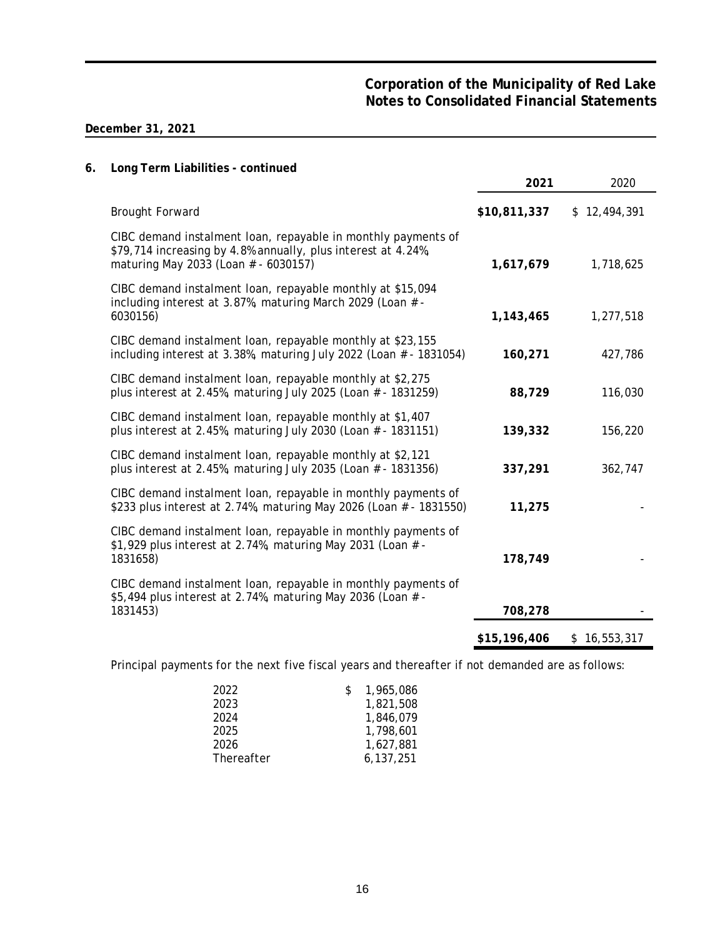# **Corporation of the Municipality of Red Lake Notes to Consolidated Financial Statements**

## **December 31, 2021**

| 6. | Long Term Liabilities - continued                                                                                                                                      | 2021         | 2020             |
|----|------------------------------------------------------------------------------------------------------------------------------------------------------------------------|--------------|------------------|
|    | Brought Forward                                                                                                                                                        | \$10,811,337 | \$12,494,391     |
|    | CIBC demand instalment loan, repayable in monthly payments of<br>\$79,714 increasing by 4.8% annually, plus interest at 4.24%,<br>maturing May 2033 (Loan # - 6030157) | 1,617,679    | 1,718,625        |
|    | CIBC demand instalment loan, repayable monthly at \$15,094<br>including interest at 3.87%, maturing March 2029 (Loan #-<br>6030156)                                    | 1,143,465    | 1,277,518        |
|    | CIBC demand instalment loan, repayable monthly at \$23,155<br>including interest at 3.38%, maturing July 2022 (Loan # - 1831054)                                       | 160,271      | 427,786          |
|    | CIBC demand instalment loan, repayable monthly at \$2,275<br>plus interest at 2.45%, maturing July 2025 (Loan # - 1831259)                                             | 88,729       | 116,030          |
|    | CIBC demand instalment loan, repayable monthly at \$1,407<br>plus interest at 2.45%, maturing July 2030 (Loan # - 1831151)                                             | 139,332      | 156,220          |
|    | CIBC demand instalment loan, repayable monthly at \$2,121<br>plus interest at 2.45%, maturing July 2035 (Loan # - 1831356)                                             | 337,291      | 362,747          |
|    | CIBC demand instalment loan, repayable in monthly payments of<br>\$233 plus interest at 2.74%, maturing May 2026 (Loan # - 1831550)                                    | 11,275       |                  |
|    | CIBC demand instalment loan, repayable in monthly payments of<br>\$1,929 plus interest at 2.74%, maturing May 2031 (Loan #-<br>1831658)                                | 178,749      |                  |
|    | CIBC demand instalment loan, repayable in monthly payments of<br>\$5,494 plus interest at 2.74%, maturing May 2036 (Loan #-<br>1831453)                                | 708,278      |                  |
|    |                                                                                                                                                                        | \$15,196,406 | 16,553,317<br>\$ |

Principal payments for the next five fiscal years and thereafter if not demanded are as follows:

| 2022       | S. | 1,965,086 |
|------------|----|-----------|
| 2023       |    | 1,821,508 |
| 2024       |    | 1,846,079 |
| 2025       |    | 1,798,601 |
| 2026       |    | 1.627.881 |
| Thereafter |    | 6,137,251 |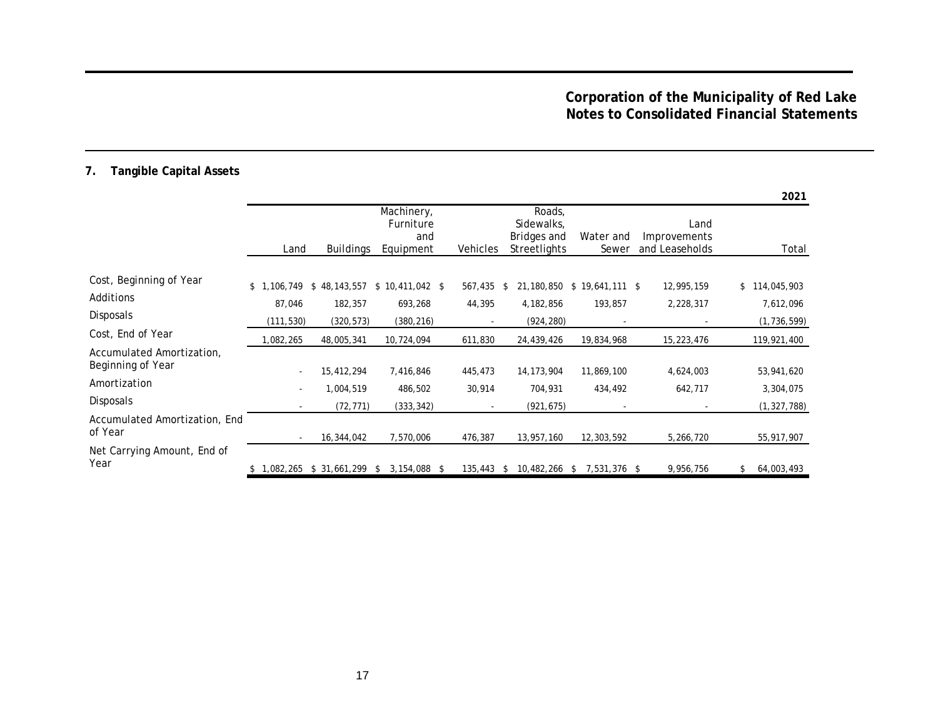# **7. Tangible Capital Assets**

|                                                |            |                            |                                             |                 |                                                            |                             |                                        | 2021             |
|------------------------------------------------|------------|----------------------------|---------------------------------------------|-----------------|------------------------------------------------------------|-----------------------------|----------------------------------------|------------------|
|                                                | Land       | <b>Buildings</b>           | Machinery,<br>Furniture<br>and<br>Equipment | <b>Vehicles</b> | Roads,<br>Sidewalks,<br>Bridges and<br><b>Streetlights</b> | Water and<br>Sewer          | Land<br>Improvements<br>and Leaseholds | Total            |
| Cost, Beginning of Year<br>Additions           |            | $$1,106,749$ $$48,143,557$ | $$10,411,042$ \$                            | 567,435         | \$                                                         | 21,180,850 \$ 19,641,111 \$ | 12,995,159                             | \$114,045,903    |
|                                                | 87,046     | 182,357                    | 693,268                                     | 44,395          | 4,182,856                                                  | 193,857                     | 2,228,317                              | 7,612,096        |
| Disposals                                      | (111, 530) | (320, 573)                 | (380, 216)                                  |                 | (924, 280)                                                 |                             |                                        | (1, 736, 599)    |
| Cost, End of Year                              | ,082,265   | 48,005,341                 | 10,724,094                                  | 611,830         | 24,439,426                                                 | 19,834,968                  | 15,223,476                             | 119,921,400      |
| Accumulated Amortization,<br>Beginning of Year |            | 15,412,294                 | 7,416,846                                   | 445,473         | 14, 173, 904                                               | 11,869,100                  | 4,624,003                              | 53,941,620       |
| Amortization                                   |            | 1,004,519                  | 486,502                                     | 30,914          | 704,931                                                    | 434,492                     | 642,717                                | 3,304,075        |
| <b>Disposals</b>                               |            | (72, 771)                  | (333, 342)                                  |                 | (921, 675)                                                 |                             |                                        | (1, 327, 788)    |
| Accumulated Amortization, End<br>of Year       |            | 16,344,042                 | 7,570,006                                   | 476,387         | 13,957,160                                                 | 12,303,592                  | 5,266,720                              | 55,917,907       |
| Net Carrying Amount, End of<br>Year            | 1,082,265  | \$31,661,299               | 3,154,088 \$<br><b>S</b>                    | 135,443         | 10,482,266<br>- \$                                         | $$7,531,376$ \$             | 9,956,756                              | 64,003,493<br>\$ |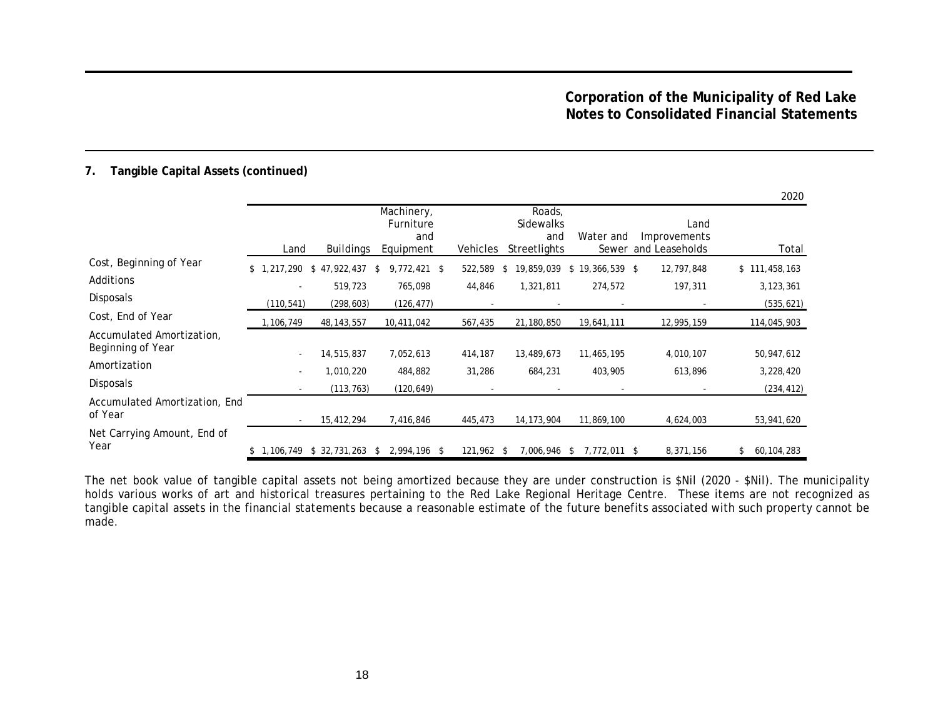2020

## **7. Tangible Capital Assets (continued)**

|                                                |                          |                  |                                             |            |                                                          |                    |                                        | 2020             |
|------------------------------------------------|--------------------------|------------------|---------------------------------------------|------------|----------------------------------------------------------|--------------------|----------------------------------------|------------------|
|                                                | Land                     | <b>Buildings</b> | Machinery,<br>Furniture<br>and<br>Equipment | Vehicles   | Roads,<br><b>Sidewalks</b><br>and<br><b>Streetlights</b> | Water and<br>Sewer | Land<br>Improvements<br>and Leaseholds | Total            |
| Cost, Beginning of Year                        | \$1,217,290              | $$47,922,437$ \$ | $9,772,421$ \$                              | 522,589    | 19,859,039<br>\$                                         | $$19,366,539$ \$   | 12,797,848                             | \$111,458,163    |
| Additions                                      |                          | 519,723          | 765,098                                     | 44,846     | 1,321,811                                                | 274,572            | 197,311                                | 3,123,361        |
| Disposals                                      | (110, 541)               | (298, 603)       | (126, 477)                                  |            |                                                          |                    |                                        | (535, 621)       |
| Cost, End of Year                              | 1,106,749                | 48, 143, 557     | 10,411,042                                  | 567,435    | 21,180,850                                               | 19,641,111         | 12,995,159                             | 114,045,903      |
| Accumulated Amortization,<br>Beginning of Year |                          | 14,515,837       | 7,052,613                                   | 414,187    | 13,489,673                                               | 11,465,195         | 4,010,107                              | 50,947,612       |
| Amortization                                   | $\overline{\phantom{a}}$ | 1,010,220        | 484,882                                     | 31,286     | 684,231                                                  | 403,905            | 613,896                                | 3,228,420        |
| Disposals                                      |                          | (113, 763)       | (120, 649)                                  |            |                                                          |                    |                                        | (234, 412)       |
| Accumulated Amortization, End<br>of Year       |                          | 15,412,294       | 7,416,846                                   | 445,473    | 14, 173, 904                                             | 11,869,100         | 4,624,003                              | 53,941,620       |
| Net Carrying Amount, End of<br>Year            | 1,106,749                | $$32,731,263$ \$ | 2,994,196 \$                                | 121,962 \$ | 7,006,946 \$                                             | 7,772,011 \$       | 8,371,156                              | 60,104,283<br>\$ |

The net book value of tangible capital assets not being amortized because they are under construction is \$Nil (2020 - \$Nil). The municipality holds various works of art and historical treasures pertaining to the Red Lake Regional Heritage Centre. These items are not recognized as tangible capital assets in the financial statements because a reasonable estimate of the future benefits associated with such property cannot be made.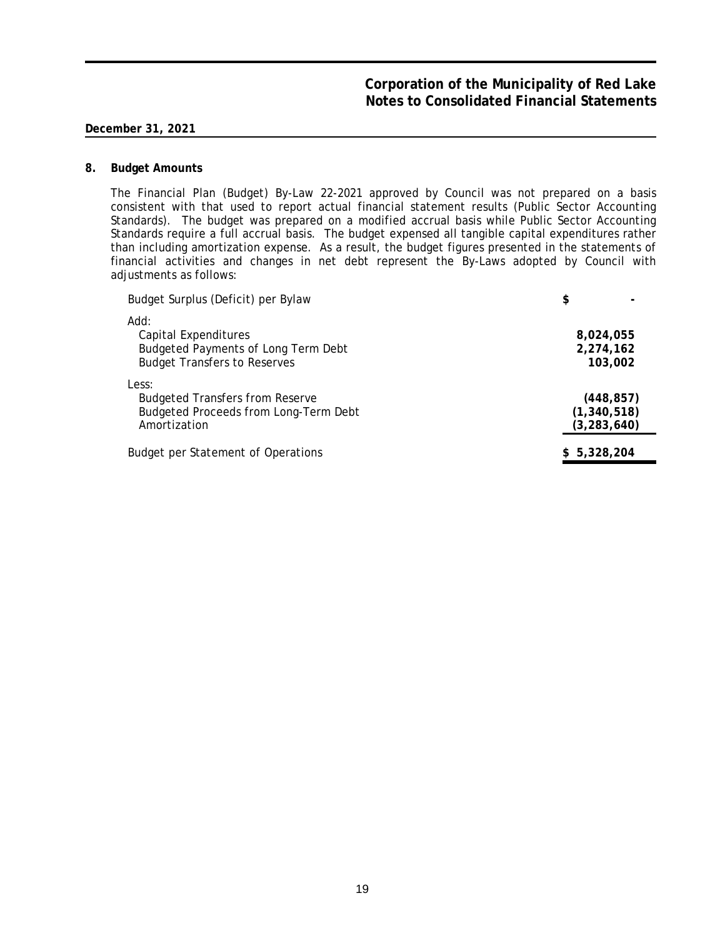#### **8. Budget Amounts**

The Financial Plan (Budget) By-Law 22-2021 approved by Council was not prepared on a basis consistent with that used to report actual financial statement results (Public Sector Accounting Standards). The budget was prepared on a modified accrual basis while Public Sector Accounting Standards require a full accrual basis. The budget expensed all tangible capital expenditures rather than including amortization expense. As a result, the budget figures presented in the statements of financial activities and changes in net debt represent the By-Laws adopted by Council with adjustments as follows:

| Budget Surplus (Deficit) per Bylaw                                                                         | \$                                           |
|------------------------------------------------------------------------------------------------------------|----------------------------------------------|
| Add:<br>Capital Expenditures<br>Budgeted Payments of Long Term Debt<br><b>Budget Transfers to Reserves</b> | 8,024,055<br>2,274,162<br>103,002            |
| Less:<br><b>Budgeted Transfers from Reserve</b><br>Budgeted Proceeds from Long-Term Debt<br>Amortization   | (448, 857)<br>(1, 340, 518)<br>(3, 283, 640) |
| Budget per Statement of Operations                                                                         | \$5,328,204                                  |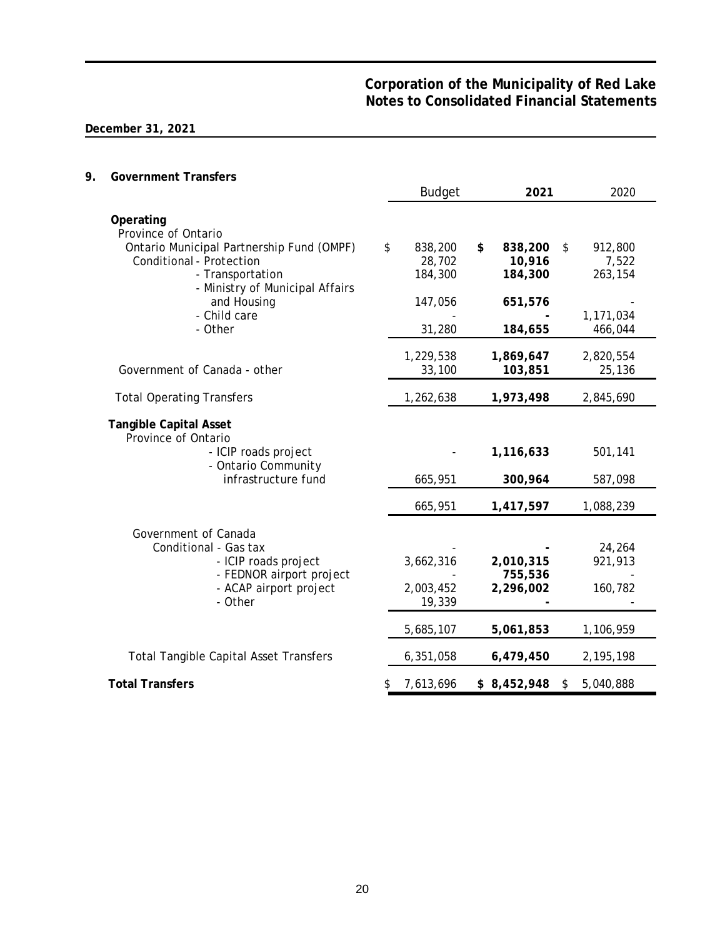# **Corporation of the Municipality of Red Lake Notes to Consolidated Financial Statements**

# **December 31, 2021**

| 9. | <b>Government Transfers</b>                          |                 |                      |                      |
|----|------------------------------------------------------|-----------------|----------------------|----------------------|
|    |                                                      | <b>Budget</b>   | 2021                 | 2020                 |
|    | Operating<br>Province of Ontario                     |                 |                      |                      |
|    | Ontario Municipal Partnership Fund (OMPF)            | \$<br>838,200   | \$<br>838,200        | \$<br>912,800        |
|    | Conditional - Protection                             | 28,702          | 10,916               | 7,522                |
|    | - Transportation<br>- Ministry of Municipal Affairs  | 184,300         | 184,300              | 263,154              |
|    | and Housing                                          | 147,056         | 651,576              |                      |
|    | - Child care<br>- Other                              | 31,280          | 184,655              | 1,171,034<br>466,044 |
|    |                                                      |                 |                      |                      |
|    |                                                      | 1,229,538       | 1,869,647            | 2,820,554            |
|    | Government of Canada - other                         | 33,100          | 103,851              | 25,136               |
|    | <b>Total Operating Transfers</b>                     | 1,262,638       | 1,973,498            | 2,845,690            |
|    | <b>Tangible Capital Asset</b><br>Province of Ontario |                 |                      |                      |
|    | - ICIP roads project<br>- Ontario Community          |                 | 1,116,633            | 501,141              |
|    | infrastructure fund                                  | 665,951         | 300,964              | 587,098              |
|    |                                                      | 665,951         | 1,417,597            | 1,088,239            |
|    | Government of Canada                                 |                 |                      |                      |
|    | Conditional - Gas tax                                |                 |                      | 24,264               |
|    | - ICIP roads project<br>- FEDNOR airport project     | 3,662,316       | 2,010,315<br>755,536 | 921,913              |
|    | - ACAP airport project                               | 2,003,452       | 2,296,002            | 160,782              |
|    | - Other                                              | 19,339          |                      |                      |
|    |                                                      | 5,685,107       | 5,061,853            | 1,106,959            |
|    | <b>Total Tangible Capital Asset Transfers</b>        | 6,351,058       | 6,479,450            | 2,195,198            |
|    | <b>Total Transfers</b>                               | \$<br>7,613,696 | \$8,452,948          | \$<br>5,040,888      |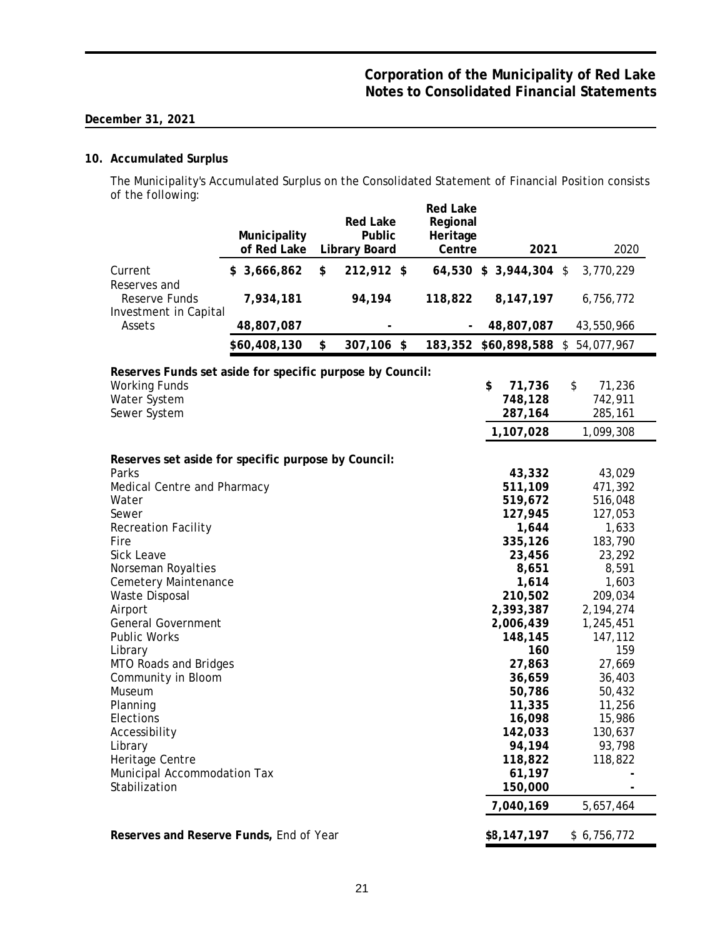## **10. Accumulated Surplus**

The Municipality's Accumulated Surplus on the Consolidated Statement of Financial Position consists of the following:

|                                                                                                                                                                                                                                                                                                                                                                                                                                                                                                                                                                                                                                                                                                                                                                                                                                                                                                                                                               | Municipality<br>of Red Lake |    | Red Lake<br>Public<br>Library Board |  | Red Lake<br>Regional<br>Heritage<br>Centre | 2021                              | 2020        |  |  |
|---------------------------------------------------------------------------------------------------------------------------------------------------------------------------------------------------------------------------------------------------------------------------------------------------------------------------------------------------------------------------------------------------------------------------------------------------------------------------------------------------------------------------------------------------------------------------------------------------------------------------------------------------------------------------------------------------------------------------------------------------------------------------------------------------------------------------------------------------------------------------------------------------------------------------------------------------------------|-----------------------------|----|-------------------------------------|--|--------------------------------------------|-----------------------------------|-------------|--|--|
| Current                                                                                                                                                                                                                                                                                                                                                                                                                                                                                                                                                                                                                                                                                                                                                                                                                                                                                                                                                       | \$3,666,862                 | \$ | 212,912 \$                          |  |                                            | 64,530 \$ 3,944,304 \$            | 3,770,229   |  |  |
| Reserves and<br>Reserve Funds                                                                                                                                                                                                                                                                                                                                                                                                                                                                                                                                                                                                                                                                                                                                                                                                                                                                                                                                 | 7,934,181                   |    | 94,194                              |  | 118,822                                    | 8,147,197                         | 6,756,772   |  |  |
| Investment in Capital<br>Assets                                                                                                                                                                                                                                                                                                                                                                                                                                                                                                                                                                                                                                                                                                                                                                                                                                                                                                                               | 48,807,087                  |    |                                     |  | $\overline{\phantom{a}}$                   | 48,807,087                        | 43,550,966  |  |  |
|                                                                                                                                                                                                                                                                                                                                                                                                                                                                                                                                                                                                                                                                                                                                                                                                                                                                                                                                                               | \$60,408,130                | \$ | 307,106 \$                          |  |                                            | 183,352 \$60,898,588 \$54,077,967 |             |  |  |
| Reserves Funds set aside for specific purpose by Council:<br>\$<br>\$<br><b>Working Funds</b><br>71,736<br>71,236<br>Water System<br>748,128<br>742,911<br>Sewer System<br>287,164<br>285,161<br>1,107,028<br>1,099,308                                                                                                                                                                                                                                                                                                                                                                                                                                                                                                                                                                                                                                                                                                                                       |                             |    |                                     |  |                                            |                                   |             |  |  |
| Reserves set aside for specific purpose by Council:<br>Parks<br>43,332<br>43,029<br>511,109<br>471,392<br>Medical Centre and Pharmacy<br>519,672<br>516,048<br>Water<br>127,945<br>Sewer<br>127,053<br>1,644<br>1,633<br><b>Recreation Facility</b><br>335,126<br>183,790<br>Fire<br>Sick Leave<br>23,292<br>23,456<br>8,651<br>8,591<br>Norseman Royalties<br>Cemetery Maintenance<br>1,614<br>1,603<br>210,502<br>209,034<br>Waste Disposal<br>Airport<br>2,393,387<br>2,194,274<br><b>General Government</b><br>2,006,439<br>1,245,451<br>Public Works<br>148,145<br>147,112<br>159<br>160<br>Library<br><b>MTO Roads and Bridges</b><br>27,863<br>27,669<br>36,659<br>Community in Bloom<br>36,403<br>50,786<br>50,432<br>Museum<br>11,335<br>11,256<br>Planning<br>Elections<br>16,098<br>15,986<br>142,033<br>Accessibility<br>130,637<br>94,194<br>93,798<br>Library<br>Heritage Centre<br>118,822<br>118,822<br>Municipal Accommodation Tax<br>61,197 |                             |    |                                     |  |                                            |                                   |             |  |  |
|                                                                                                                                                                                                                                                                                                                                                                                                                                                                                                                                                                                                                                                                                                                                                                                                                                                                                                                                                               |                             |    |                                     |  |                                            | 7,040,169                         | 5,657,464   |  |  |
| Reserves and Reserve Funds, End of Year                                                                                                                                                                                                                                                                                                                                                                                                                                                                                                                                                                                                                                                                                                                                                                                                                                                                                                                       |                             |    |                                     |  |                                            | \$8,147,197                       | \$6,756,772 |  |  |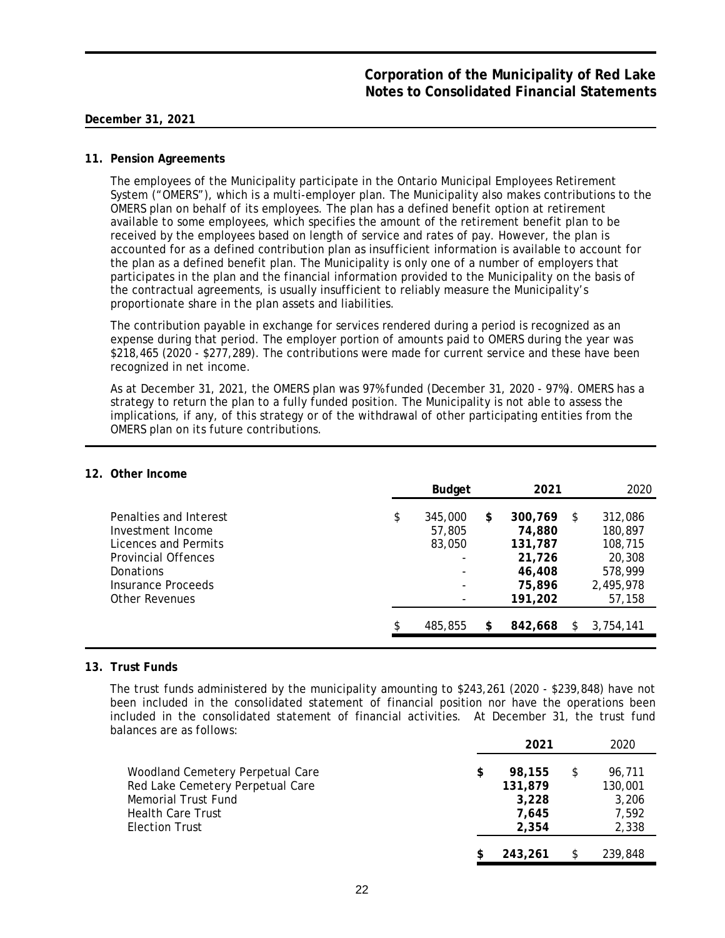#### **11. Pension Agreements**

The employees of the Municipality participate in the Ontario Municipal Employees Retirement System ("OMERS"), which is a multi-employer plan. The Municipality also makes contributions to the OMERS plan on behalf of its employees. The plan has a defined benefit option at retirement available to some employees, which specifies the amount of the retirement benefit plan to be received by the employees based on length of service and rates of pay. However, the plan is accounted for as a defined contribution plan as insufficient information is available to account for the plan as a defined benefit plan. The Municipality is only one of a number of employers that participates in the plan and the financial information provided to the Municipality on the basis of the contractual agreements, is usually insufficient to reliably measure the Municipality's proportionate share in the plan assets and liabilities.

The contribution payable in exchange for services rendered during a period is recognized as an expense during that period. The employer portion of amounts paid to OMERS during the year was \$218,465 (2020 - \$277,289). The contributions were made for current service and these have been recognized in net income.

As at December 31, 2021, the OMERS plan was 97% funded (December 31, 2020 - 97%). OMERS has a strategy to return the plan to a fully funded position. The Municipality is not able to assess the implications, if any, of this strategy or of the withdrawal of other participating entities from the OMERS plan on its future contributions.

#### **12. Other Income**

|                                                                                                                                                        | <b>Budget</b>                     | 2021 | 2020                                                                  |   |                                                                           |
|--------------------------------------------------------------------------------------------------------------------------------------------------------|-----------------------------------|------|-----------------------------------------------------------------------|---|---------------------------------------------------------------------------|
| Penalties and Interest<br>Investment Income<br>Licences and Permits<br>Provincial Offences<br>Donations<br><b>Insurance Proceeds</b><br>Other Revenues | \$<br>345,000<br>57,805<br>83,050 | \$   | 300,769<br>74,880<br>131,787<br>21,726<br>46,408<br>75,896<br>191,202 | S | 312,086<br>180.897<br>108,715<br>20,308<br>578,999<br>2,495,978<br>57,158 |
|                                                                                                                                                        | 485,855                           | \$   | 842,668                                                               |   | 3,754,141                                                                 |

## **13. Trust Funds**

The trust funds administered by the municipality amounting to \$243,261 (2020 - \$239,848) have not been included in the consolidated statement of financial position nor have the operations been included in the consolidated statement of financial activities. At December 31, the trust fund balances are as follows:

|                                                                          | 2021                    | 2020                    |
|--------------------------------------------------------------------------|-------------------------|-------------------------|
| Woodland Cemetery Perpetual Care<br>Red Lake Cemetery Perpetual Care     | \$<br>98,155<br>131,879 | 96.711<br>130,001       |
| Memorial Trust Fund<br><b>Health Care Trust</b><br><b>Election Trust</b> | 3,228<br>7.645<br>2.354 | 3,206<br>7.592<br>2,338 |
|                                                                          | 243,261                 | 239,848                 |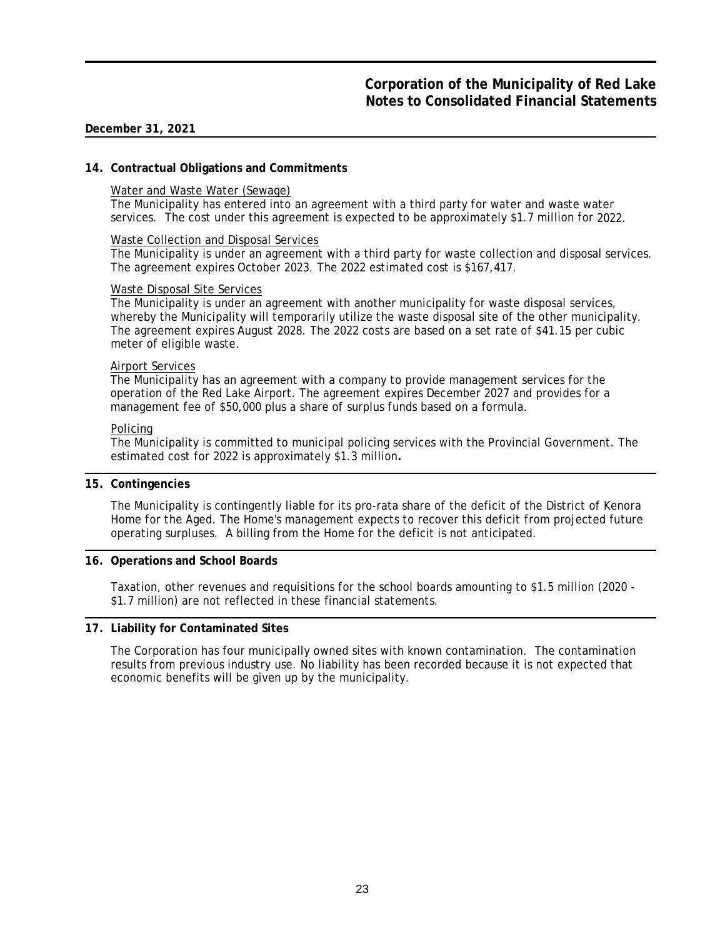#### **14. Contractual Obligations and Commitments**

#### Water and Waste Water (Sewage)

The Municipality has entered into an agreement with a third party for water and waste water services. The cost under this agreement is expected to be approximately \$1.7 million for 2022.

#### Waste Collection and Disposal Services

The Municipality is under an agreement with a third party for waste collection and disposal services. The agreement expires October 2023. The 2022 estimated cost is \$167,417.

#### Waste Disposal Site Services

The Municipality is under an agreement with another municipality for waste disposal services, whereby the Municipality will temporarily utilize the waste disposal site of the other municipality. The agreement expires August 2028. The 2022 costs are based on a set rate of \$41.15 per cubic meter of eligible waste.

#### Airport Services

The Municipality has an agreement with a company to provide management services for the operation of the Red Lake Airport. The agreement expires December 2027 and provides for a management fee of \$50,000 plus a share of surplus funds based on a formula.

#### Policing

The Municipality is committed to municipal policing services with the Provincial Government. The estimated cost for 2022 is approximately \$1.3 million**.**

#### **15. Contingencies**

The Municipality is contingently liable for its pro-rata share of the deficit of the District of Kenora Home for the Aged. The Home's management expects to recover this deficit from projected future operating surpluses. A billing from the Home for the deficit is not anticipated.

## **16. Operations and School Boards**

Taxation, other revenues and requisitions for the school boards amounting to \$1.5 million (2020 - \$1.7 million) are not reflected in these financial statements.

## **17. Liability for Contaminated Sites**

The Corporation has four municipally owned sites with known contamination. The contamination results from previous industry use. No liability has been recorded because it is not expected that economic benefits will be given up by the municipality.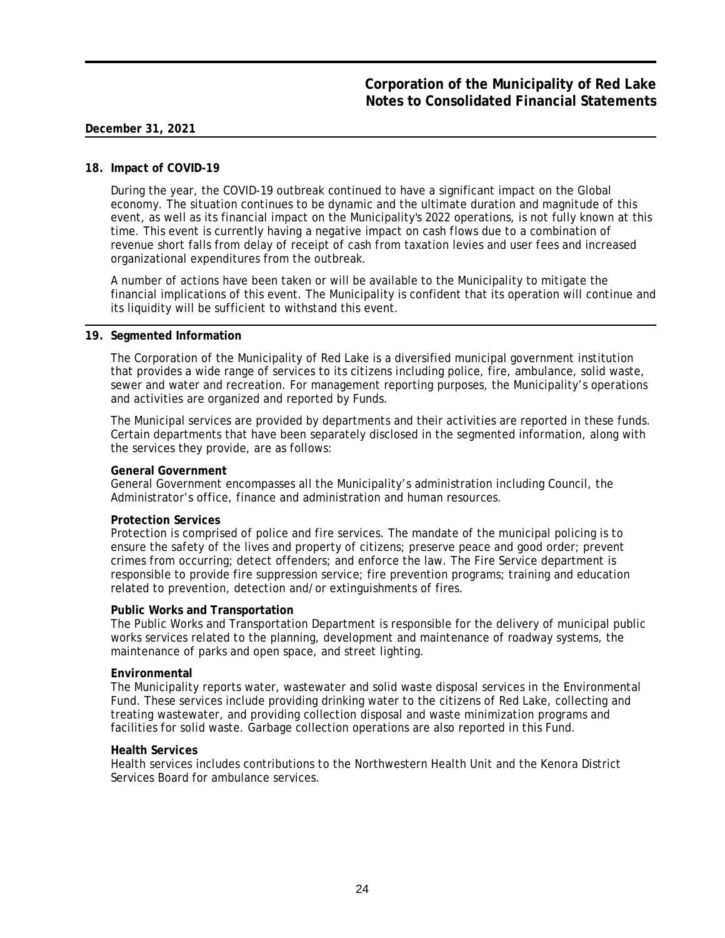#### **18. Impact of COVID-19**

During the year, the COVID-19 outbreak continued to have a significant impact on the Global economy. The situation continues to be dynamic and the ultimate duration and magnitude of this event, as well as its financial impact on the Municipality's 2022 operations, is not fully known at this time. This event is currently having a negative impact on cash flows due to a combination of revenue short falls from delay of receipt of cash from taxation levies and user fees and increased organizational expenditures from the outbreak.

A number of actions have been taken or will be available to the Municipality to mitigate the financial implications of this event. The Municipality is confident that its operation will continue and its liquidity will be sufficient to withstand this event.

#### **19. Segmented Information**

The Corporation of the Municipality of Red Lake is a diversified municipal government institution that provides a wide range of services to its citizens including police, fire, ambulance, solid waste, sewer and water and recreation. For management reporting purposes, the Municipality's operations and activities are organized and reported by Funds.

The Municipal services are provided by departments and their activities are reported in these funds. Certain departments that have been separately disclosed in the segmented information, along with the services they provide, are as follows:

#### **General Government**

General Government encompasses all the Municipality's administration including Council, the Administrator's office, finance and administration and human resources.

#### **Protection Services**

Protection is comprised of police and fire services. The mandate of the municipal policing is to ensure the safety of the lives and property of citizens; preserve peace and good order; prevent crimes from occurring; detect offenders; and enforce the law. The Fire Service department is responsible to provide fire suppression service; fire prevention programs; training and education related to prevention, detection and/or extinguishments of fires.

#### **Public Works and Transportation**

The Public Works and Transportation Department is responsible for the delivery of municipal public works services related to the planning, development and maintenance of roadway systems, the maintenance of parks and open space, and street lighting.

#### **Environmental**

The Municipality reports water, wastewater and solid waste disposal services in the Environmental Fund. These services include providing drinking water to the citizens of Red Lake, collecting and treating wastewater, and providing collection disposal and waste minimization programs and facilities for solid waste. Garbage collection operations are also reported in this Fund.

#### **Health Services**

Health services includes contributions to the Northwestern Health Unit and the Kenora District Services Board for ambulance services.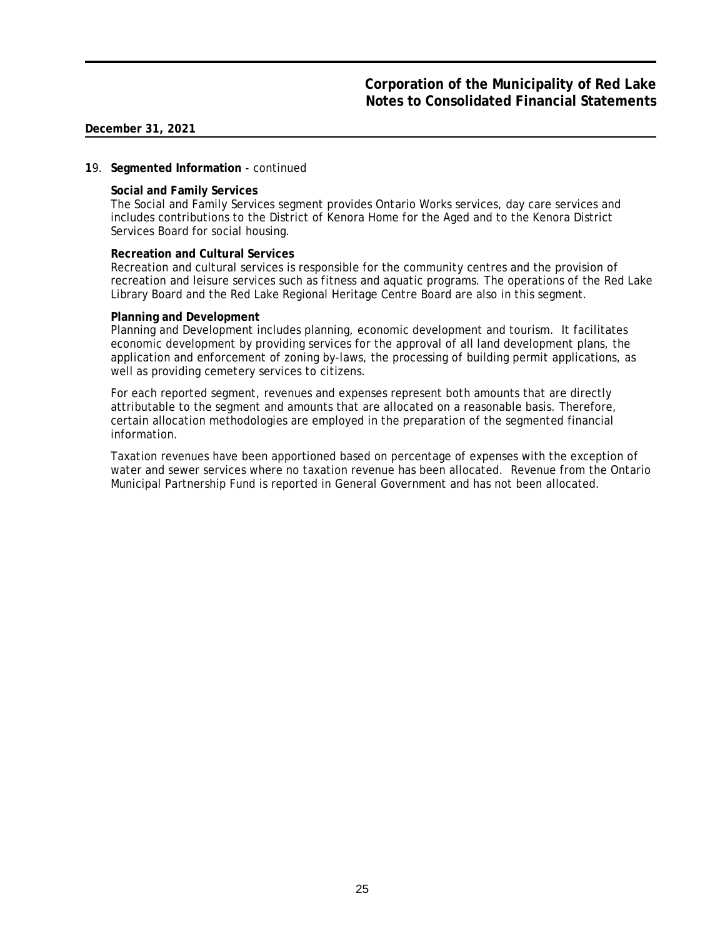#### **1**9. **Segmented Information** - continued

#### **Social and Family Services**

The Social and Family Services segment provides Ontario Works services, day care services and includes contributions to the District of Kenora Home for the Aged and to the Kenora District Services Board for social housing.

#### **Recreation and Cultural Services**

Recreation and cultural services is responsible for the community centres and the provision of recreation and leisure services such as fitness and aquatic programs. The operations of the Red Lake Library Board and the Red Lake Regional Heritage Centre Board are also in this segment.

#### **Planning and Development**

Planning and Development includes planning, economic development and tourism. It facilitates economic development by providing services for the approval of all land development plans, the application and enforcement of zoning by-laws, the processing of building permit applications, as well as providing cemetery services to citizens.

For each reported segment, revenues and expenses represent both amounts that are directly attributable to the segment and amounts that are allocated on a reasonable basis. Therefore, certain allocation methodologies are employed in the preparation of the segmented financial information.

Taxation revenues have been apportioned based on percentage of expenses with the exception of water and sewer services where no taxation revenue has been allocated. Revenue from the Ontario Municipal Partnership Fund is reported in General Government and has not been allocated.